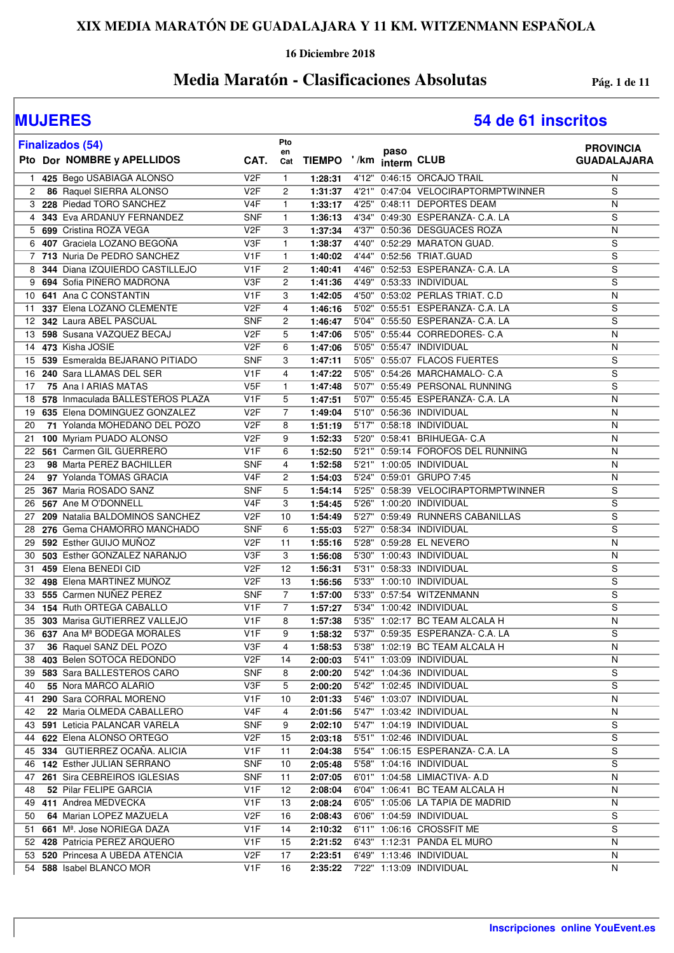**16 Diciembre 2018**

## **Media Maratón - Clasificaciones Absolutas Pág. 1 de 11**

# **MUJERES 54 de 61 inscritos**

|    | <b>Finalizados (54)</b>                   |                  | Pto<br>en      |               |       | paso        |                                     | <b>PROVINCIA</b>   |
|----|-------------------------------------------|------------------|----------------|---------------|-------|-------------|-------------------------------------|--------------------|
|    | Pto Dor NOMBRE y APELLIDOS                | CAT.             | Cat            | <b>TIEMPO</b> | ' /km | interm CLUB |                                     | <b>GUADALAJARA</b> |
| 1  | 425 Bego USABIAGA ALONSO                  | V <sub>2F</sub>  | $\mathbf{1}$   | 1:28:31       |       |             | 4'12" 0:46:15 ORCAJO TRAIL          | N                  |
| 2  | 86 Raquel SIERRA ALONSO                   | V <sub>2</sub> F | 2              | 1:31:37       |       |             | 4'21" 0:47:04 VELOCIRAPTORMPTWINNER | S                  |
|    | 3 228 Piedad TORO SANCHEZ                 | V4F              | $\mathbf{1}$   | 1:33:17       | 4'25" |             | 0:48:11 DEPORTES DEAM               | N                  |
|    | 4 343 Eva ARDANUY FERNANDEZ               | <b>SNF</b>       | $\mathbf{1}$   | 1:36:13       |       |             | 4'34" 0:49:30 ESPERANZA- C.A. LA    | S                  |
|    | 5 699 Cristina ROZA VEGA                  | V <sub>2F</sub>  | 3              | 1:37:34       |       |             | 4'37" 0:50:36 DESGUACES ROZA        | N                  |
|    | 6 407 Graciela LOZANO BEGOÑA              | V3F              | 1              | 1:38:37       |       |             | 4'40" 0:52:29 MARATON GUAD.         | S                  |
|    | 7 713 Nuria De PEDRO SANCHEZ              | V <sub>1</sub> F | 1              | 1:40:02       |       |             | 4'44" 0:52:56 TRIAT.GUAD            | S                  |
| 8  | 344 Diana IZQUIERDO CASTILLEJO            | V1F              | 2              | 1:40:41       |       |             | 4'46" 0:52:53 ESPERANZA- C.A. LA    | S                  |
|    | 9 694 Sofia PIÑERO MADRONA                | V3F              | 2              | 1:41:36       |       |             | 4'49" 0:53:33 INDIVIDUAL            | $\overline{s}$     |
| 10 | 641 Ana C CONSTANTIN                      | V1F              | 3              | 1:42:05       |       |             | 4'50" 0:53:02 PERLAS TRIAT. C.D     | N                  |
| 11 | 337 Elena LOZANO CLEMENTE                 | V <sub>2F</sub>  | 4              | 1:46:16       |       |             | 5'02" 0:55:51 ESPERANZA- C.A. LA    | S                  |
| 12 | 342 Laura ABEL PASCUAL                    | <b>SNF</b>       | 2              | 1:46:47       |       |             | 5'04" 0:55:50 ESPERANZA- C.A. LA    | $\overline{s}$     |
| 13 | 598 Susana VAZQUEZ BECAJ                  | V <sub>2</sub> F | 5              | 1:47:06       |       |             | 5'05" 0:55:44 CORREDORES- C.A       | N                  |
| 14 | 473 Kisha JOSIE                           | V <sub>2</sub> F | 6              | 1:47:06       |       |             | 5'05" 0:55:47 INDIVIDUAL            | N                  |
| 15 | 539 Esmeralda BEJARANO PITIADO            | <b>SNF</b>       | 3              | 1:47:11       |       |             | 5'05" 0:55:07 FLACOS FUERTES        | S                  |
| 16 | 240 Sara LLAMAS DEL SER                   | V <sub>1</sub> F | 4              | 1:47:22       |       |             | 5'05" 0:54:26 MARCHAMALO- C.A       | S                  |
| 17 | 75 Ana I ARIAS MATAS                      | V <sub>5F</sub>  | $\mathbf{1}$   | 1:47:48       |       |             | 5'07" 0:55:49 PERSONAL RUNNING      | S                  |
| 18 | 578 Inmaculada BALLESTEROS PLAZA          | V <sub>1</sub> F | 5              | 1:47:51       |       |             | 5'07" 0:55:45 ESPERANZA- C.A. LA    | N                  |
| 19 | 635 Elena DOMINGUEZ GONZALEZ              | V <sub>2F</sub>  | 7              | 1:49:04       |       |             | 5'10" 0:56:36 INDIVIDUAL            | N                  |
| 20 | 71 Yolanda MOHEDANO DEL POZO              | V <sub>2F</sub>  | 8              | 1:51:19       |       |             | 5'17" 0:58:18 INDIVIDUAL            | N                  |
| 21 | 100 Myriam PUADO ALONSO                   | V <sub>2</sub> F | 9              | 1:52:33       |       |             | 5'20" 0:58:41 BRIHUEGA- C.A         | N                  |
| 22 | 561 Carmen GIL GUERRERO                   | V1F              | 6              | 1:52:50       |       |             | 5'21" 0:59:14 FOROFOS DEL RUNNING   | N                  |
| 23 | 98 Marta PEREZ BACHILLER                  | <b>SNF</b>       | 4              | 1:52:58       |       |             | 5'21" 1:00:05 INDIVIDUAL            | N                  |
| 24 | 97 Yolanda TOMAS GRACIA                   | V <sub>4</sub> F | 2              | 1:54:03       |       |             | 5'24" 0:59:01 GRUPO 7:45            | N                  |
| 25 | 367 Maria ROSADO SANZ                     | <b>SNF</b>       | 5              | 1:54:14       |       |             | 5'25" 0:58:39 VELOCIRAPTORMPTWINNER | S                  |
| 26 | 567 Ane M O'DONNELL                       | V <sub>4</sub> F | 3              | 1:54:45       |       |             | 5'26" 1:00:20 INDIVIDUAL            | S                  |
| 27 | 209 Natalia BALDOMINOS SANCHEZ            | V <sub>2</sub> F | 10             | 1:54:49       |       |             | 5'27" 0:59:49 RUNNERS CABANILLAS    | S                  |
| 28 | 276 Gema CHAMORRO MANCHADO                | <b>SNF</b>       | 6              | 1:55:03       |       |             | 5'27" 0:58:34 INDIVIDUAL            | S                  |
| 29 | 592 Esther GUIJO MUÑOZ                    | V <sub>2F</sub>  | 11             | 1:55:16       |       |             | 5'28" 0:59:28 EL NEVERO             | N                  |
| 30 | 503 Esther GONZALEZ NARANJO               | V3F              | 3              | 1:56:08       |       |             | 5'30" 1:00:43 INDIVIDUAL            | N                  |
| 31 | 459 Elena BENEDI CID                      | V <sub>2F</sub>  | 12             | 1:56:31       |       |             | 5'31" 0:58:33 INDIVIDUAL            | S                  |
| 32 | 498 Elena MARTINEZ MUÑOZ                  | V <sub>2F</sub>  | 13             | 1:56:56       |       |             | 5'33" 1:00:10 INDIVIDUAL            | S                  |
| 33 | 555 Carmen NUÑEZ PEREZ                    | <b>SNF</b>       | $\overline{7}$ | 1:57:00       |       |             | 5'33" 0:57:54 WITZENMANN            | $\overline{s}$     |
| 34 | 154 Ruth ORTEGA CABALLO                   | V1F              | $\overline{7}$ | 1:57:27       |       |             | 5'34" 1:00:42 INDIVIDUAL            | S                  |
| 35 | 303 Marisa GUTIERREZ VALLEJO              | V <sub>1</sub> F | 8              | 1:57:38       |       |             | 5'35" 1:02:17 BC TEAM ALCALA H      | N                  |
|    | 36 637 Ana Mª BODEGA MORALES              | V <sub>1</sub> F | 9              | 1:58:32       |       |             | 5'37" 0:59:35 ESPERANZA- C.A. LA    | $\overline{s}$     |
| 37 | 36 Raquel SANZ DEL POZO                   | V3F              | 4              | 1:58:53       |       |             | 5'38" 1:02:19 BC TEAM ALCALA H      | N                  |
|    | 38 403 Belen SOTOCA REDONDO               | V2F              | 14             | 2:00:03       |       |             | 5'41" 1:03:09 INDIVIDUAL            | N                  |
|    | 39 583 Sara BALLESTEROS CARO              | <b>SNF</b>       | 8              | 2:00:20       |       |             | 5'42" 1:04:36 INDIVIDUAL            | S                  |
| 40 | 55 Nora MARCO ALARIO                      | V3F              | 5              | 2:00:20       |       |             | 5'42" 1:02:45 INDIVIDUAL            | S                  |
| 41 | 290 Sara CORRAL MORENO                    | V1F              | 10             | 2:01:33       |       |             | 5'46" 1:03:07 INDIVIDUAL            | N                  |
| 42 | 22 Maria OLMEDA CABALLERO                 | V4F              | 4              | 2:01:56       |       |             | 5'47" 1:03:42 INDIVIDUAL            | N                  |
|    | 43 591 Leticia PALANCAR VARELA            | SNF              | 9              | 2:02:10       |       |             | 5'47" 1:04:19 INDIVIDUAL            | S                  |
|    | 44 622 Elena ALONSO ORTEGO                | V2F              | 15             | 2:03:18       |       |             | 5'51" 1:02:46 INDIVIDUAL            | S                  |
|    | 45 334 GUTIERREZ OCAÑA, ALICIA            | V <sub>1</sub> F | 11             | 2:04:38       |       |             | 5'54" 1:06:15 ESPERANZA- C.A. LA    | S                  |
|    | 46 142 Esther JULIAN SERRANO              | <b>SNF</b>       | 10             | 2:05:48       |       |             | 5'58" 1:04:16 INDIVIDUAL            | S                  |
|    | 47 261 Sira CEBREIROS IGLESIAS            | <b>SNF</b>       | 11             | 2:07:05       |       |             | 6'01" 1:04:58 LIMIACTIVA- A.D       | N                  |
| 48 | 52 Pilar FELIPE GARCIA                    | V1F              | 12             | 2:08:04       |       |             | 6'04" 1:06:41 BC TEAM ALCALA H      | N                  |
|    | 49 411 Andrea MEDVECKA                    | V1F              | 13             | 2:08:24       |       |             | 6'05" 1:05:06 LA TAPIA DE MADRID    | N                  |
| 50 | 64 Marian LOPEZ MAZUELA                   | V <sub>2</sub> F | 16             | 2:08:43       |       |             | 6'06" 1:04:59 INDIVIDUAL            | S                  |
|    | 51 661 M <sup>a</sup> . Jose NORIEGA DAZA | V <sub>1</sub> F | 14             | 2:10:32       |       |             | 6'11" 1:06:16 CROSSFIT ME           | S                  |
|    | 52 428 Patricia PEREZ ARQUERO             | V1F              | 15             | 2:21:52       |       |             | 6'43" 1:12:31 PANDA EL MURO         | N                  |
|    | 53 520 Princesa A UBEDA ATENCIA           | V2F              | 17             | 2:23:51       |       |             | 6'49" 1:13:46 INDIVIDUAL            | N                  |
|    | 54 588 Isabel BLANCO MOR                  | V1F              | 16             | 2:35:22       |       |             | 7'22" 1:13:09 INDIVIDUAL            | N                  |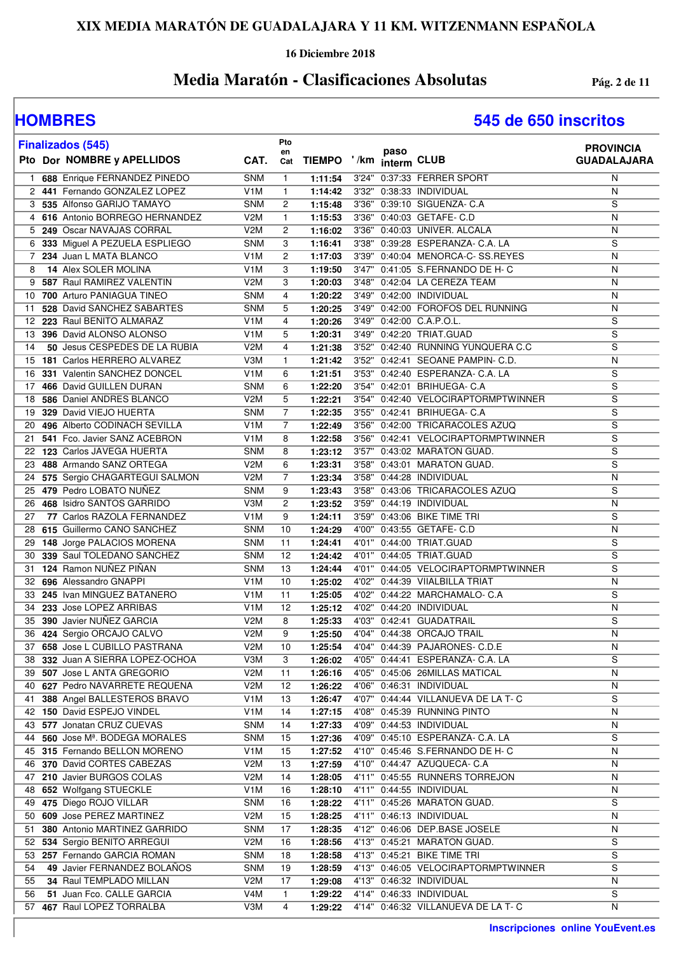### **16 Diciembre 2018**

## **Media Maratón - Clasificaciones Absolutas Pág. 2 de 11**

## **HOMBRES 545 de 650 inscritos**

| <b>Finalizados (545)</b>                                           |                          | Pto            |                         |      |                                                      | <b>PROVINCIA</b>   |
|--------------------------------------------------------------------|--------------------------|----------------|-------------------------|------|------------------------------------------------------|--------------------|
| Pto Dor NOMBRE y APELLIDOS                                         | CAT.                     | en<br>Cat      | TIEMPO '/km interm CLUB | paso |                                                      | <b>GUADALAJARA</b> |
| 688 Enrique FERNANDEZ PINEDO<br>1.                                 | <b>SNM</b>               | $\mathbf{1}$   | 1:11:54                 |      | 3'24" 0:37:33 FERRER SPORT                           | N                  |
| 2 441 Fernando GONZALEZ LOPEZ                                      | V <sub>1</sub> M         | $\mathbf{1}$   | 1:14:42                 |      | 3'32" 0:38:33 INDIVIDUAL                             | N                  |
| 3 535 Alfonso GARIJO TAMAYO                                        | <b>SNM</b>               | 2              | 1:15:48                 |      | 3'36" 0:39:10 SIGUENZA- C.A                          | S                  |
| 4 616 Antonio BORREGO HERNANDEZ                                    | V <sub>2</sub> M         | $\mathbf{1}$   | 1:15:53                 |      | 3'36" 0:40:03 GETAFE- C.D                            | N                  |
| 5 249 Oscar NAVAJAS CORRAL                                         | V <sub>2</sub> M         | 2              | 1:16:02                 |      | 3'36" 0:40:03 UNIVER. ALCALA                         | N                  |
| 6 333 Miguel A PEZUELA ESPLIEGO                                    | <b>SNM</b>               | 3              | 1:16:41                 |      | 3'38" 0:39:28 ESPERANZA- C.A. LA                     | S                  |
| 7 234 Juan L MATA BLANCO                                           | V <sub>1</sub> M         | $\overline{c}$ | 1:17:03                 |      | 3'39" 0:40:04 MENORCA-C- SS.REYES                    | N                  |
| 14 Alex SOLER MOLINA<br>8                                          | V <sub>1</sub> M         | 3              | 1:19:50                 |      | 3'47" 0:41:05 S.FERNANDO DE H- C                     | N                  |
| 9 587 Raul RAMIREZ VALENTIN                                        | V <sub>2</sub> M         | 3              | 1:20:03                 |      | 3'48" 0:42:04 LA CEREZA TEAM                         | N                  |
| 10 700 Arturo PANIAGUA TINEO                                       | <b>SNM</b>               | 4              | 1:20:22                 |      | 3'49" 0:42:00 INDIVIDUAL                             | N                  |
| 528 David SANCHEZ SABARTES<br>11                                   | <b>SNM</b>               | 5              | 1:20:25                 |      | 3'49" 0:42:00 FOROFOS DEL RUNNING                    | N                  |
| 12 223 Raul BENITO ALMARAZ                                         | V <sub>1</sub> M         | 4              | 1:20:26                 |      | 3'49" 0:42:00 C.A.P.O.L.                             | S                  |
| 396 David ALONSO ALONSO<br>13                                      | V <sub>1</sub> M         | 5              | 1:20:31                 |      | 3'49" 0:42:20 TRIAT.GUAD                             | S                  |
| 50 Jesus CESPEDES DE LA RUBIA<br>14                                | V2M                      | 4              | 1:21:38                 |      | 3'52" 0:42:40 RUNNING YUNQUERA C.C                   | $\overline{s}$     |
| 15 181 Carlos HERRERO ALVAREZ                                      | V3M                      | $\mathbf{1}$   | 1:21:42                 |      | 3'52" 0:42:41 SEOANE PAMPIN- C.D.                    | N                  |
| 331 Valentin SANCHEZ DONCEL<br>16                                  | V <sub>1</sub> M         | 6              | 1:21:51                 |      | 3'53" 0:42:40 ESPERANZA- C.A. LA                     | S                  |
| 466 David GUILLEN DURAN<br>17                                      | <b>SNM</b>               | 6              | 1:22:20                 |      | 3'54" 0:42:01 BRIHUEGA- C.A                          | S                  |
| 586 Daniel ANDRES BLANCO<br>18                                     | V2M                      | 5              | 1:22:21                 |      | 3'54" 0:42:40 VELOCIRAPTORMPTWINNER                  | S                  |
| 329 David VIEJO HUERTA<br>19                                       | <b>SNM</b>               | $\overline{7}$ | 1:22:35                 |      | 3'55" 0:42:41 BRIHUEGA- C.A                          | S                  |
| 496 Alberto CODINACH SEVILLA<br>20                                 | V <sub>1</sub> M         | $\overline{7}$ | 1:22:49                 |      | 3'56" 0:42:00 TRICARACOLES AZUQ                      | S                  |
| 541 Fco. Javier SANZ ACEBRON<br>21                                 | V <sub>1</sub> M         | 8              | 1:22:58                 |      | 3'56" 0:42:41 VELOCIRAPTORMPTWINNER                  | S                  |
| 123 Carlos JAVEGA HUERTA<br>22                                     | <b>SNM</b>               | 8              | 1:23:12                 |      | 3'57" 0:43:02 MARATON GUAD.                          | S                  |
| 488 Armando SANZ ORTEGA<br>23                                      | V2M                      | 6              | 1:23:31                 |      | 3'58" 0:43:01 MARATON GUAD.                          | S                  |
| 575 Sergio CHAGARTEGUI SALMON<br>24                                | V2M                      | 7              | 1:23:34                 |      | 3'58" 0:44:28 INDIVIDUAL                             | N                  |
| 479 Pedro LOBATO NUÑEZ<br>25                                       | <b>SNM</b>               | 9              | 1:23:43                 |      | 3'58" 0:43:06 TRICARACOLES AZUQ                      | S                  |
| 468 Isidro SANTOS GARRIDO<br>26                                    | V3M                      | 2              | 1:23:52                 |      | 3'59" 0:44:19 INDIVIDUAL                             | N                  |
| 77 Carlos RAZOLA FERNANDEZ<br>27                                   | V <sub>1</sub> M         | 9              | 1:24:11                 |      | 3'59" 0:43:06 BIKE TIME TRI                          | S                  |
| 615 Guillermo CANO SANCHEZ<br>28                                   | <b>SNM</b>               | 10             | 1:24:29                 |      | 4'00" 0:43:55 GETAFE- C.D                            | N                  |
| 148 Jorge PALACIOS MORENA<br>29<br>339 Saul TOLEDANO SANCHEZ<br>30 | <b>SNM</b><br><b>SNM</b> | 11<br>12       | 1:24:41                 |      | 4'01" 0:44:00 TRIAT.GUAD<br>4'01" 0:44:05 TRIAT.GUAD | S<br>S             |
| 124 Ramon NUÑEZ PIÑAN                                              | <b>SNM</b>               |                | 1:24:42                 |      | 4'01" 0:44:05 VELOCIRAPTORMPTWINNER                  | S                  |
| 31<br>32 696 Alessandro GNAPPI                                     | V <sub>1</sub> M         | 13<br>10       | 1:24:44<br>1:25:02      |      | 4'02" 0:44:39 VIIALBILLA TRIAT                       | N                  |
| 33 245 Ivan MINGUEZ BATANERO                                       | V <sub>1</sub> M         | 11             | 1:25:05                 |      | 4'02" 0:44:22 MARCHAMALO- C.A                        | S                  |
| 34 233 Jose LOPEZ ARRIBAS                                          | V <sub>1</sub> M         | 12             | 1:25:12                 |      | 4'02" 0:44:20 INDIVIDUAL                             | N                  |
| 390 Javier NUÑEZ GARCIA<br>35                                      | V <sub>2</sub> M         | 8              | 1:25:33                 |      | 4'03" 0:42:41 GUADATRAIL                             | S                  |
| 36 424 Sergio ORCAJO CALVO                                         | V2M                      | 9              | 1:25:50                 |      | 4'04" 0:44:38 ORCAJO TRAIL                           | N                  |
| 37 658 Jose L CUBILLO PASTRANA                                     | V2M                      | 10             | 1:25:54                 |      | 4'04" 0:44:39 PAJARONES- C.D.E                       | N                  |
| 38 332 Juan A SIERRA LOPEZ-OCHOA                                   | V3M                      | 3              | 1:26:02                 |      | 4'05" 0:44:41 ESPERANZA- C.A. LA                     | S                  |
| 39 507 Jose L ANTA GREGORIO                                        | V <sub>2</sub> M         | 11             | 1:26:16                 |      | 4'05" 0:45:06 26MILLAS MATICAL                       | N                  |
| 40 627 Pedro NAVARRETE REQUENA                                     | V <sub>2</sub> M         | 12             | 1:26:22                 |      | 4'06" 0:46:31 INDIVIDUAL                             | N                  |
| 388 Angel BALLESTEROS BRAVO<br>41                                  | V <sub>1</sub> M         | 13             | 1:26:47                 |      | 4'07" 0:44:44 VILLANUEVA DE LA T-C                   | S                  |
| 42 150 David ESPEJO VINDEL                                         | V <sub>1</sub> M         | 14             | 1:27:15                 |      | 4'08" 0:45:39 RUNNING PINTO                          | N                  |
| 43 577 Jonatan CRUZ CUEVAS                                         | <b>SNM</b>               | 14             | 1:27:33                 |      | 4'09" 0:44:53 INDIVIDUAL                             | N                  |
| 44 560 Jose M <sup>ª</sup> . BODEGA MORALES                        | <b>SNM</b>               | 15             | 1:27:36                 |      | 4'09" 0:45:10 ESPERANZA- C.A. LA                     | S                  |
| 45 315 Fernando BELLON MORENO                                      | V <sub>1</sub> M         | 15             | 1:27:52                 |      | 4'10" 0:45:46 S.FERNANDO DE H- C                     | N                  |
| 46 370 David CORTES CABEZAS                                        | V2M                      | 13             | 1:27:59                 |      | 4'10" 0:44:47 AZUQUECA- C.A                          | N                  |
| 47 210 Javier BURGOS COLAS                                         | V2M                      | 14             | 1:28:05                 |      | 4'11" 0:45:55 RUNNERS TORREJON                       | N                  |
| 48 652 Wolfgang STUECKLE                                           | V <sub>1</sub> M         | 16             | 1:28:10                 |      | 4'11" 0:44:55 INDIVIDUAL                             | N                  |
| 49 475 Diego ROJO VILLAR                                           | <b>SNM</b>               | 16             | 1:28:22                 |      | 4'11" 0:45:26 MARATON GUAD.                          | S                  |
| 50 609 Jose PEREZ MARTINEZ                                         | V <sub>2</sub> M         | 15             | 1:28:25                 |      | 4'11" 0:46:13 INDIVIDUAL                             | N                  |
| 380 Antonio MARTINEZ GARRIDO<br>51                                 | <b>SNM</b>               | 17             | 1:28:35                 |      | 4'12" 0:46:06 DEP.BASE JOSELE                        | N                  |
| 52 534 Sergio BENITO ARREGUI                                       | V <sub>2</sub> M         | 16             | 1:28:56                 |      | 4'13" 0:45:21 MARATON GUAD.                          | S                  |
| 53 257 Fernando GARCIA ROMAN                                       | <b>SNM</b>               | 18             | 1:28:58                 |      | 4'13" 0:45:21 BIKE TIME TRI                          | $\overline{s}$     |
| 49 Javier FERNANDEZ BOLAÑOS<br>54                                  | <b>SNM</b>               | 19             | 1:28:59                 |      | 4'13" 0:46:05 VELOCIRAPTORMPTWINNER                  | S                  |
| 34 Raul TEMPLADO MILLAN<br>55                                      | V <sub>2</sub> M         | 17             | 1:29:08                 |      | 4'13" 0:46:32 INDIVIDUAL                             | N                  |
| 51 Juan Fco. CALLE GARCIA<br>56                                    | V4M                      | $\mathbf{1}$   | 1:29:22                 |      | 4'14" 0:46:33 INDIVIDUAL                             | S                  |
| 57 467 Raul LOPEZ TORRALBA                                         | V3M                      | 4              | 1:29:22                 |      | 4'14" 0:46:32 VILLANUEVA DE LA T-C                   | N                  |

**Inscripciones online YouEvent.es**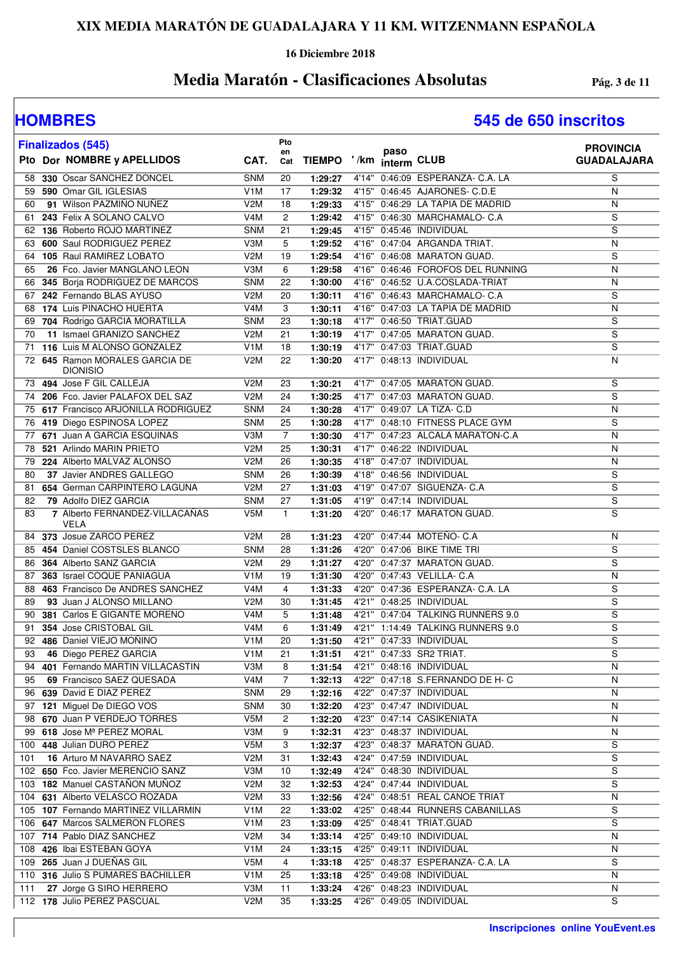### **16 Diciembre 2018**

## **Media Maratón - Clasificaciones Absolutas Pág. 3 de 11**

| <b>Finalizados (545)</b>                            |                  | Pto          |         | paso                              | <b>PROVINCIA</b>   |
|-----------------------------------------------------|------------------|--------------|---------|-----------------------------------|--------------------|
| Pto Dor NOMBRE y APELLIDOS                          | CAT.             | en<br>Cat    |         | TIEMPO '/km interm CLUB           | <b>GUADALAJARA</b> |
| 330 Oscar SANCHEZ DONCEL<br>58                      | <b>SNM</b>       | 20           | 1:29:27 | 4'14" 0:46:09 ESPERANZA- C.A. LA  | S                  |
| 590 Omar GIL IGLESIAS<br>59                         | V <sub>1</sub> M | 17           | 1:29:32 | 4'15" 0:46:45 AJARONES- C.D.E     | N                  |
| 91 Wilson PAZMIÑO NUÑEZ<br>60                       | V2M              | 18           | 1:29:33 | 4'15" 0:46:29 LA TAPIA DE MADRID  | N                  |
| 243 Felix A SOLANO CALVO<br>61                      | V <sub>4</sub> M | 2            | 1:29:42 | 4'15" 0:46:30 MARCHAMALO- C.A     | S                  |
| 136 Roberto ROJO MARTINEZ<br>62                     | <b>SNM</b>       | 21           | 1:29:45 | 4'15" 0:45:46 INDIVIDUAL          | S                  |
| 63 600 Saul RODRIGUEZ PEREZ                         | V3M              | 5            | 1:29:52 | 4'16" 0:47:04 ARGANDA TRIAT.      | N                  |
| 105 Raul RAMIREZ LOBATO<br>64                       | V2M              | 19           | 1:29:54 | 4'16" 0:46:08 MARATON GUAD.       | S                  |
| 26 Fco. Javier MANGLANO LEON<br>65                  | V3M              | 6            | 1:29:58 | 4'16" 0:46:46 FOROFOS DEL RUNNING | N                  |
| 345 Borja RODRIGUEZ DE MARCOS<br>66                 | <b>SNM</b>       | 22           | 1:30:00 | 4'16" 0:46:52 U.A.COSLADA-TRIAT   | N                  |
| 67 242 Fernando BLAS AYUSO                          | V2M              | 20           | 1:30:11 | 4'16" 0:46:43 MARCHAMALO- C.A     | S                  |
| 174 Luis PINACHO HUERTA<br>68                       | V4M              | 3            | 1:30:11 | 4'16" 0:47:03 LA TAPIA DE MADRID  | N                  |
| 704 Rodrigo GARCIA MORATILLA<br>69                  | <b>SNM</b>       | 23           | 1:30:18 | 4'17" 0:46:50 TRIAT.GUAD          | S                  |
| 11 Ismael GRANIZO SANCHEZ<br>70                     | V2M              | 21           | 1:30:19 | 4'17" 0:47:05 MARATON GUAD.       | $\overline{s}$     |
| 116 Luis M ALONSO GONZALEZ<br>71                    | V <sub>1</sub> M | 18           | 1:30:19 | 4'17" 0:47:03 TRIAT.GUAD          | $\overline{s}$     |
| 72 645 Ramon MORALES GARCIA DE<br><b>DIONISIO</b>   | V2M              | 22           | 1:30:20 | 4'17" 0:48:13 INDIVIDUAL          | N                  |
| 494 Jose F GIL CALLEJA<br>73                        | V2M              | 23           | 1:30:21 | 4'17" 0:47:05 MARATON GUAD.       | S                  |
| 206 Fco. Javier PALAFOX DEL SAZ<br>74               | V <sub>2</sub> M | 24           | 1:30:25 | 4'17" 0:47:03 MARATON GUAD.       | S                  |
| 617 Francisco ARJONILLA RODRIGUEZ<br>75             | <b>SNM</b>       | 24           | 1:30:28 | 4'17" 0:49:07 LA TIZA- C.D        | $\overline{N}$     |
| 419 Diego ESPINOSA LOPEZ<br>76                      | <b>SNM</b>       | 25           | 1:30:28 | 4'17" 0:48:10 FITNESS PLACE GYM   | S                  |
| 671 Juan A GARCIA ESQUINAS<br>77                    | V3M              | 7            | 1:30:30 | 4'17" 0:47:23 ALCALA MARATON-C.A  | N                  |
| 521 Arlindo MARIN PRIETO<br>78                      | V2M              | 25           | 1:30:31 | 4'17" 0:46:22 INDIVIDUAL          | N                  |
| 224 Alberto MALVAZ ALONSO<br>79                     | V2M              | 26           | 1:30:35 | 4'18" 0:47:07 INDIVIDUAL          | N                  |
| 37 Javier ANDRES GALLEGO<br>80                      | <b>SNM</b>       | 26           | 1:30:39 | 4'18" 0:46:56 INDIVIDUAL          | S                  |
| 81 654 German CARPINTERO LAGUNA                     | V2M              | 27           | 1:31:03 | 4'19" 0:47:07 SIGUENZA- C.A       | S                  |
| 79 Adolfo DIEZ GARCIA<br>82                         | <b>SNM</b>       | 27           | 1:31:05 | 4'19" 0:47:14 INDIVIDUAL          | S                  |
| 7 Alberto FERNANDEZ-VILLACANAS<br>83<br><b>VELA</b> | V5M              | $\mathbf{1}$ | 1:31:20 | 4'20" 0:46:17 MARATON GUAD.       | S                  |
| 84 373 Josue ZARCO PEREZ                            | V2M              | 28           | 1:31:23 | 4'20" 0:47:44 MOTEÑO- C.A         | N                  |
| 85 454 Daniel COSTSLES BLANCO                       | <b>SNM</b>       | 28           | 1:31:26 | 4'20" 0:47:06 BIKE TIME TRI       | S                  |
| 364 Alberto SANZ GARCIA<br>86                       | V <sub>2</sub> M | 29           | 1:31:27 | 4'20" 0:47:37 MARATON GUAD.       | S                  |
| 363 Israel COQUE PANIAGUA<br>87                     | V <sub>1</sub> M | 19           | 1:31:30 | 4'20" 0:47:43 VELILLA- C.A        | N                  |
| 463 Francisco De ANDRES SANCHEZ<br>88               | V4M              | 4            | 1:31:33 | 4'20" 0:47:36 ESPERANZA- C.A. LA  | S                  |
| 93 Juan J ALONSO MILLANO<br>89                      | V <sub>2</sub> M | 30           | 1:31:45 | 4'21" 0:48:25 INDIVIDUAL          | S                  |
| 381 Carlos E GIGANTE MORENO<br>90                   | V4M              | 5            | 1:31:48 | 4'21" 0:47:04 TALKING RUNNERS 9.0 | S                  |
| 354 Jose CRISTOBAL GIL<br>91                        | V4M              | 6            | 1:31:49 | 4'21" 1:14:49 TALKING RUNNERS 9.0 | S                  |
| 486 Daniel VIEJO MOÑINO<br>92                       | V <sub>1</sub> M | 20           | 1:31:50 | 4'21" 0:47:33 INDIVIDUAL          | $\overline{s}$     |
| 46 Diego PEREZ GARCIA<br>93                         | V <sub>1</sub> M | 21           | 1:31:51 | 4'21" 0:47:33 SR2 TRIAT.          | S                  |
| 94 401 Fernando MARTIN VILLACASTIN                  | V3M              | 8            | 1:31:54 | 4'21" 0:48:16 INDIVIDUAL          | N                  |
| 69 Francisco SAEZ QUESADA<br>95                     | V <sub>4</sub> M | 7            | 1:32:13 | 4'22" 0:47:18 S.FERNANDO DE H- C  | ${\sf N}$          |
| 96 639 David E DIAZ PEREZ                           | <b>SNM</b>       | 29           | 1:32:16 | 4'22" 0:47:37 INDIVIDUAL          | N                  |
| 97 121 Miguel De DIEGO VOS                          | <b>SNM</b>       | 30           | 1:32:20 | 4'23" 0:47:47 INDIVIDUAL          | $\mathsf{N}$       |
| 98 670 Juan P VERDEJO TORRES                        | V5M              | 2            | 1:32:20 | 4'23" 0:47:14 CASIKENIATA         | N                  |
| 99 618 Jose Mª PEREZ MORAL                          | V3M              | 9            | 1:32:31 | 4'23" 0:48:37 INDIVIDUAL          | N                  |
| 448 Julian DURO PEREZ<br>100                        | V5M              | 3            | 1:32:37 | 4'23" 0:48:37 MARATON GUAD.       | S                  |
| 16 Arturo M NAVARRO SAEZ<br>101                     | V2M              | 31           | 1:32:43 | 4'24" 0:47:59 INDIVIDUAL          | S                  |
| 102 650 Fco. Javier MERENCIO SANZ                   | V3M              | 10           | 1:32:49 | 4'24" 0:48:30 INDIVIDUAL          | S                  |
| 103 182 Manuel CASTAÑON MUÑOZ                       | V2M              | 32           | 1:32:53 | 4'24" 0:47:44 INDIVIDUAL          | S                  |
| 104 631 Alberto VELASCO ROZADA                      | V2M              | 33           | 1:32:56 | 4'24" 0:48:51 REAL CANOE TRIAT    | N                  |
| 105 107 Fernando MARTINEZ VILLARMIN                 | V <sub>1</sub> M | 22           | 1:33:02 | 4'25" 0:48:44 RUNNERS CABANILLAS  | S                  |
| 106 647 Marcos SALMERON FLORES                      | V <sub>1</sub> M | 23           | 1:33:09 | 4'25" 0:48:41 TRIAT.GUAD          | S                  |
| 107 714 Pablo DIAZ SANCHEZ                          | V <sub>2</sub> M | 34           | 1:33:14 | 4'25" 0:49:10 INDIVIDUAL          | ${\sf N}$          |
| 108 426 Ibai ESTEBAN GOYA                           | V <sub>1</sub> M | 24           | 1:33:15 | 4'25" 0:49:11 INDIVIDUAL          | N                  |
| 109 265 Juan J DUEÑAS GIL                           | V <sub>5</sub> M | 4            | 1:33:18 | 4'25" 0:48:37 ESPERANZA- C.A. LA  | S                  |
| 110 316 Julio S PUMARES BACHILLER                   | V <sub>1</sub> M | 25           | 1:33:18 | 4'25" 0:49:08 INDIVIDUAL          | N                  |
| 27 Jorge G SIRO HERRERO<br>111                      | V3M              | 11           | 1:33:24 | 4'26" 0:48:23 INDIVIDUAL          | $\mathsf{N}$       |
| 112 178 Julio PEREZ PASCUAL                         | V2M              | 35           | 1:33:25 | 4'26" 0:49:05 INDIVIDUAL          | S                  |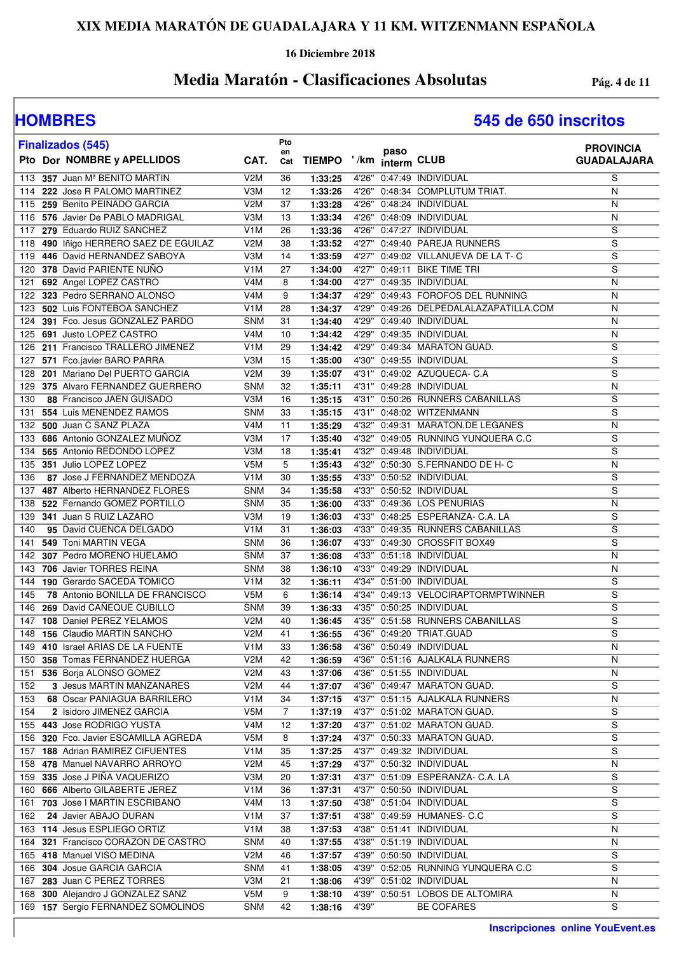### **16 Diciembre 2018**

## **Media Maratón - Clasificaciones Absolutas Pág. 4 de 11**

| <b>Finalizados (545)</b>                  |                  | Pto       |               |       |                          |                                        | <b>PROVINCIA</b>   |
|-------------------------------------------|------------------|-----------|---------------|-------|--------------------------|----------------------------------------|--------------------|
| Pto Dor NOMBRE y APELLIDOS                | CAT.             | en<br>Cat | <b>TIEMPO</b> |       | paso<br>'/km interm CLUB |                                        | <b>GUADALAJARA</b> |
| 113 357 Juan M <sup>ª</sup> BENITO MARTIN | V2M              | 36        | 1:33:25       |       |                          | 4'26" 0:47:49 INDIVIDUAL               | S                  |
| 222 Jose R PALOMO MARTINEZ<br>114         | V3M              | 12        | 1:33:26       |       |                          | 4'26" 0:48:34 COMPLUTUM TRIAT.         | N                  |
| 259 Benito PEINADO GARCIA<br>115          | V2M              | 37        | 1:33:28       |       |                          | 4'26" 0:48:24 INDIVIDUAL               | N                  |
| 576 Javier De PABLO MADRIGAL<br>116       | V3M              | 13        | 1:33:34       | 4'26" |                          | 0:48:09 INDIVIDUAL                     | N                  |
| 279 Eduardo RUIZ SANCHEZ<br>117           | V <sub>1</sub> M | 26        | 1:33:36       | 4'26" |                          | 0:47:27 INDIVIDUAL                     | S                  |
| 490 lñigo HERRERO SAEZ DE EGUILAZ<br>118  | V2M              | 38        | 1:33:52       |       |                          | 4'27" 0:49:40 PAREJA RUNNERS           | S                  |
| 446 David HERNANDEZ SABOYA<br>119         | V3M              | 14        | 1:33:59       |       |                          | 4'27" 0:49:02 VILLANUEVA DE LA T- C    | S                  |
| 378 David PARIENTE NUÑO<br>120            | V <sub>1</sub> M | 27        | 1:34:00       |       |                          | 4'27" 0:49:11 BIKE TIME TRI            | $\overline{s}$     |
| 692 Angel LOPEZ CASTRO<br>121             | V4M              | 8         | 1:34:00       | 4'27" |                          | 0:49:35 INDIVIDUAL                     | N                  |
| 323 Pedro SERRANO ALONSO<br>122           | V <sub>4</sub> M | 9         | 1:34:37       |       |                          | 4'29" 0:49:43 FOROFOS DEL RUNNING      | $\mathsf{N}$       |
| 502 Luis FONTEBOA SANCHEZ<br>123          | V <sub>1</sub> M | 28        | 1:34:37       |       |                          | 4'29" 0:49:26 DELPEDALALAZAPATILLA.COM | N                  |
| 391 Fco. Jesus GONZALEZ PARDO<br>124      | <b>SNM</b>       | 31        | 1:34:40       |       |                          | 4'29" 0:49:40 INDIVIDUAL               | N                  |
| 691 Justo LOPEZ CASTRO<br>125             | V <sub>4</sub> M | 10        | 1:34:42       |       |                          | 4'29" 0:49:35 INDIVIDUAL               | N                  |
| 211 Francisco TRALLERO JIMENEZ<br>126     | V <sub>1</sub> M | 29        | 1:34:42       |       |                          | 4'29" 0:49:34 MARATON GUAD.            | $\overline{s}$     |
| 571 Fco.javier BARO PARRA<br>127          | V3M              | 15        | 1:35:00       |       |                          | 4'30" 0:49:55 INDIVIDUAL               | S                  |
| 201 Mariano Del PUERTO GARCIA<br>128      | V <sub>2</sub> M | 39        | 1:35:07       |       |                          | 4'31" 0:49:02 AZUQUECA- C.A            | S                  |
| 375 Alvaro FERNANDEZ GUERRERO<br>129      | <b>SNM</b>       | 32        | 1:35:11       |       |                          | 4'31" 0:49:28 INDIVIDUAL               | N                  |
| 88 Francisco JAEN GUISADO<br>130          | V3M              | 16        | 1:35:15       |       |                          | 4'31" 0:50:26 RUNNERS CABANILLAS       | S                  |
| 554 Luis MENENDEZ RAMOS<br>131            | <b>SNM</b>       | 33        | 1:35:15       |       |                          | 4'31" 0:48:02 WITZENMANN               | S                  |
| 500 Juan C SANZ PLAZA<br>132              | V <sub>4</sub> M | 11        | 1:35:29       | 4'32" |                          | 0:49:31 MARATON.DE LEGANES             | N                  |
| 686 Antonio GONZALEZ MUNOZ<br>133         | V3M              | 17        | 1:35:40       |       |                          | 4'32" 0:49:05 RUNNING YUNQUERA C.C     | S                  |
| 565 Antonio REDONDO LOPEZ<br>134          | V3M              | 18        | 1:35:41       |       |                          | 4'32" 0:49:48 INDIVIDUAL               | $\overline{s}$     |
| 351 Julio LOPEZ LOPEZ<br>135              | V <sub>5</sub> M | 5         | 1:35:43       |       |                          | 4'32" 0:50:30 S.FERNANDO DE H- C       | $\mathsf{N}$       |
| 87 Jose J FERNANDEZ MENDOZA<br>136        | V1M              | 30        | 1:35:55       |       |                          | 4'33" 0:50:52 INDIVIDUAL               | S                  |
| 487 Alberto HERNANDEZ FLORES<br>137       | <b>SNM</b>       | 34        | 1:35:58       |       |                          | 4'33" 0:50:52 INDIVIDUAL               | S                  |
| 522 Fernando GOMEZ PORTILLO<br>138        | <b>SNM</b>       | 35        | 1:36:00       |       |                          | 4'33" 0:49:36 LOS PENURIAS             | N                  |
| 341 Juan S RUIZ LAZARO<br>139             | V3M              | 19        | 1:36:03       |       |                          | 4'33" 0:48:25 ESPERANZA- C.A. LA       | S                  |
| 95 David CUENCA DELGADO<br>140            | V <sub>1</sub> M | 31        | 1:36:03       |       |                          | 4'33" 0:49:35 RUNNERS CABANILLAS       | S                  |
| 549 Toni MARTIN VEGA<br>141               | <b>SNM</b>       | 36        | 1:36:07       | 4'33" |                          | 0:49:30 CROSSFIT BOX49                 | S                  |
| 307 Pedro MORENO HUELAMO<br>142           | <b>SNM</b>       | 37        | 1:36:08       | 4'33" |                          | 0:51:18 INDIVIDUAL                     | N                  |
| 706 Javier TORRES REINA<br>143            | <b>SNM</b>       | 38        | 1:36:10       | 4'33" |                          | 0:49:29 INDIVIDUAL                     | N                  |
| 190 Gerardo SACEDA TOMICO<br>144          | V <sub>1</sub> M | 32        | 1:36:11       | 4'34" |                          | 0:51:00 INDIVIDUAL                     | S                  |
| 78 Antonio BONILLA DE FRANCISCO<br>145    | V5M              | 6         | 1:36:14       |       |                          | 4'34" 0:49:13 VELOCIRAPTORMPTWINNER    | S                  |
| 269 David CAÑEQUE CUBILLO<br>146          | <b>SNM</b>       | 39        | 1:36:33       |       |                          | 4'35" 0:50:25 INDIVIDUAL               | S                  |
| 108 Daniel PEREZ YELAMOS<br>147           | V <sub>2</sub> M | 40        | 1:36:45       | 4'35" |                          | 0:51:58 RUNNERS CABANILLAS             | $\overline{s}$     |
| <b>156 Claudio MARTIN SANCHO</b><br>148   | V <sub>2</sub> M | 41        | 1:36:55       |       |                          | 4'36" 0:49:20 TRIAT.GUAD               | $\overline{s}$     |
| 149 410 Israel ARIAS DE LA FUENTE         | V <sub>1</sub> M | 33        | 1:36:58       |       |                          | 4'36" 0:50:49 INDIVIDUAL               | N                  |
| 358 Tomas FERNANDEZ HUERGA<br>150         | V <sub>2</sub> M | 42        | 1:36:59       |       |                          | 4'36" 0:51:16 AJALKALA RUNNERS         | N                  |
| 536 Borja ALONSO GOMEZ<br>151             | V2M              | 43        | 1:37:06       |       |                          | 4'36" 0:51:55 INDIVIDUAL               | N                  |
| 3 Jesus MARTIN MANZANARES<br>152          | V <sub>2</sub> M | 44        | 1:37:07       |       |                          | 4'36" 0:49:47 MARATON GUAD.            | S                  |
| 68 Oscar PANIAGUA BARRILERO<br>153        | V <sub>1</sub> M | 34        | 1:37:15       |       |                          | 4'37" 0:51:15 AJALKALA RUNNERS         | N                  |
| 154<br>2 Isidoro JIMENEZ GARCIA           | V5M              | 7         | 1:37:19       |       |                          | 4'37" 0:51:02 MARATON GUAD.            | S                  |
| 155 443 Jose RODRIGO YUSTA                | V4M              | 12        | 1:37:20       |       |                          | 4'37" 0:51:02 MARATON GUAD.            | S                  |
| 156 320 Fco. Javier ESCAMILLA AGREDA      | V5M              | 8         | 1:37:24       |       |                          | 4'37" 0:50:33 MARATON GUAD.            | S                  |
| 157 188 Adrian RAMIREZ CIFUENTES          | V <sub>1</sub> M | 35        | 1:37:25       |       |                          | 4'37" 0:49:32 INDIVIDUAL               | S                  |
| 158 478 Manuel NAVARRO ARROYO             | V <sub>2</sub> M | 45        | 1:37:29       |       |                          | 4'37" 0:50:32 INDIVIDUAL               | N                  |
| 159 335 Jose J PIÑA VAQUERIZO             | V3M              | 20        | 1:37:31       |       |                          | 4'37" 0:51:09 ESPERANZA- C.A. LA       | S                  |
| 160 666 Alberto GILABERTE JEREZ           | V <sub>1</sub> M | 36        | 1:37:31       |       |                          | 4'37" 0:50:50 INDIVIDUAL               | S                  |
| 161 703 Jose I MARTIN ESCRIBANO           | V4M              | 13        | 1:37:50       |       |                          | 4'38" 0:51:04 INDIVIDUAL               | S                  |
| 24 Javier ABAJO DURAN<br>162              | V <sub>1</sub> M | 37        | 1:37:51       |       |                          | 4'38" 0:49:59 HUMANES- C.C             | S                  |
| 163 114 Jesus ESPLIEGO ORTIZ              | V <sub>1</sub> M | 38        | 1:37:53       |       |                          | 4'38" 0:51:41 INDIVIDUAL               | N                  |
| 321 Francisco CORAZON DE CASTRO<br>164    | <b>SNM</b>       | 40        | 1:37:55       |       |                          | 4'38" 0:51:19 INDIVIDUAL               | N                  |
| 165 418 Manuel VISO MEDINA                | V2M              | 46        | 1:37:57       |       |                          | 4'39" 0:50:50 INDIVIDUAL               | S                  |
| 166 304 Josue GARCIA GARCIA               | <b>SNM</b>       | 41        | 1:38:05       |       |                          | 4'39" 0:52:05 RUNNING YUNQUERA C.C     | S                  |
| 283 Juan C PEREZ TORRES<br>167            | V3M              | 21        | 1:38:06       |       |                          | 4'39" 0:51:02 INDIVIDUAL               | N                  |
| 168 300 Alejandro J GONZALEZ SANZ         | V5M              | 9         | 1:38:10       |       |                          | 4'39" 0:50:51 LOBOS DE ALTOMIRA        | N                  |
| 169 157 Sergio FERNANDEZ SOMOLINOS        | <b>SNM</b>       | 42        | 1:38:16       | 4'39" |                          | <b>BE COFARES</b>                      | S                  |
|                                           |                  |           |               |       |                          |                                        |                    |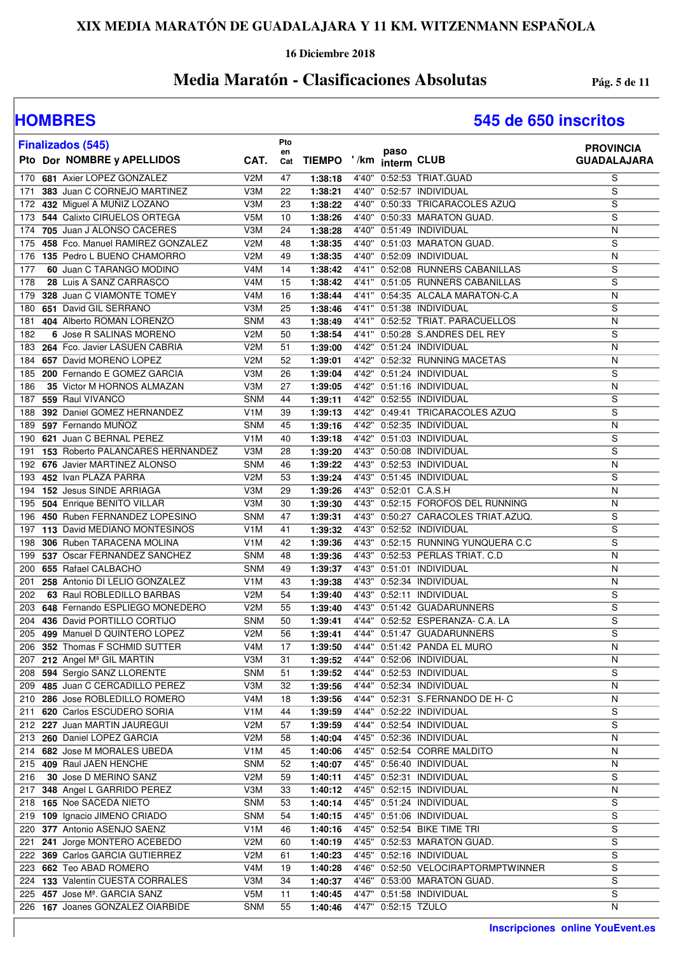### **16 Diciembre 2018**

## **Media Maratón - Clasificaciones Absolutas Pág. 5 de 11**

| <b>Finalizados (545)</b>                                             |                                      | Pto       |                    |                |                     |                                                          | <b>PROVINCIA</b>   |
|----------------------------------------------------------------------|--------------------------------------|-----------|--------------------|----------------|---------------------|----------------------------------------------------------|--------------------|
| Pto Dor NOMBRE y APELLIDOS                                           | CAT.                                 | en<br>Cat | <b>TIEMPO</b>      | ' /km          | paso<br>interm CLUB |                                                          | <b>GUADALAJARA</b> |
| 681 Axier LOPEZ GONZALEZ<br>170                                      | V <sub>2</sub> M                     | 47        | 1:38:18            |                |                     | 4'40" 0:52:53 TRIAT.GUAD                                 | S                  |
| 383 Juan C CORNEJO MARTINEZ<br>171                                   | V3M                                  | 22        | 1:38:21            | 4'40"          |                     | 0:52:57 INDIVIDUAL                                       | S                  |
| 432 Miguel A MUÑIZ LOZANO<br>172                                     | V3M                                  | 23        | 1:38:22            | 4'40"          |                     | 0:50:33 TRICARACOLES AZUQ                                | S                  |
| 544 Calixto CIRUELOS ORTEGA<br>173                                   | V <sub>5</sub> M                     | 10        | 1:38:26            | 4'40"          |                     | 0:50:33 MARATON GUAD.                                    | S                  |
| 705 Juan J ALONSO CACERES<br>174                                     | V3M                                  | 24        | 1:38:28            | 4'40"          |                     | 0:51:49 INDIVIDUAL                                       | N                  |
| 458 Fco. Manuel RAMIREZ GONZALEZ<br>175                              | V <sub>2</sub> M                     | 48        | 1:38:35            | 4'40"          |                     | 0:51:03 MARATON GUAD.                                    | S                  |
|                                                                      | V <sub>2</sub> M                     | 49        | 1:38:35            |                |                     | 4'40" 0:52:09 INDIVIDUAL                                 | N                  |
| 135 Pedro L BUENO CHAMORRO<br>176<br>60 Juan C TARANGO MODINO<br>177 | V <sub>4</sub> M                     | 14        | 1:38:42            |                |                     | 4'41" 0:52:08 RUNNERS CABANILLAS                         | S                  |
| 28 Luis A SANZ CARRASCO<br>178                                       | V <sub>4</sub> M                     |           |                    |                |                     | 4'41" 0:51:05 RUNNERS CABANILLAS                         | S                  |
| 328 Juan C VIAMONTE TOMEY                                            | V <sub>4</sub> M                     | 15<br>16  | 1:38:42            |                |                     | 4'41" 0:54:35 ALCALA MARATON-C.A                         | N                  |
| 179<br>651 David GIL SERRANO                                         | V3M                                  |           | 1:38:44            |                |                     | 4'41" 0:51:38 INDIVIDUAL                                 | S                  |
| 180<br>404 Alberto ROMAN LORENZO                                     | <b>SNM</b>                           | 25<br>43  | 1:38:46<br>1:38:49 |                |                     | 4'41" 0:52:52 TRIAT. PARACUELLOS                         | N                  |
| 181                                                                  |                                      |           |                    |                |                     | 4'41" 0:50:28 S.ANDRES DEL REY                           | S                  |
| 182<br>6 Jose R SALINAS MORENO<br>264 Fco. Javier LASUEN CABRIA      | V <sub>2</sub> M<br>V <sub>2</sub> M | 50<br>51  | 1:38:54            | 4'42"          |                     | 0:51:24 INDIVIDUAL                                       | N                  |
| 183                                                                  |                                      |           | 1:39:00            |                |                     | 0:52:32 RUNNING MACETAS                                  |                    |
| 657 David MORENO LOPEZ<br>184<br>200 Fernando E GOMEZ GARCIA         | V <sub>2</sub> M                     | 52        | 1:39:01            | 4'42"          |                     |                                                          | N                  |
| 185                                                                  | V3M                                  | 26        | 1:39:04            | 4'42"          |                     | 0:51:24 INDIVIDUAL                                       | S                  |
| 35 Victor M HORNOS ALMAZAN<br>186                                    | V3M                                  | 27        | 1:39:05            | 4'42"          |                     | 0:51:16 INDIVIDUAL                                       | N                  |
| 559 Raul VIVANCO<br>187                                              | <b>SNM</b>                           | 44        | 1:39:11            | 4'42"          |                     | 0:52:55 INDIVIDUAL                                       | S                  |
| 392 Daniel GOMEZ HERNANDEZ<br>188                                    | V <sub>1</sub> M                     | 39        | 1:39:13            | 4'42"          |                     | 0:49:41 TRICARACOLES AZUQ                                | S                  |
| 597 Fernando MUÑOZ<br>189                                            | <b>SNM</b>                           | 45        | 1:39:16            | 4'42"          |                     | 0:52:35 INDIVIDUAL                                       | N                  |
| 621 Juan C BERNAL PEREZ<br>190                                       | V <sub>1</sub> M                     | 40        | 1:39:18            |                |                     | 4'42" 0:51:03 INDIVIDUAL                                 | S                  |
| 153 Roberto PALANCARES HERNANDEZ<br>191                              | V3M                                  | 28        | 1:39:20            |                |                     | 4'43" 0:50:08 INDIVIDUAL                                 | $\overline{s}$     |
| 676 Javier MARTINEZ ALONSO<br>192                                    | <b>SNM</b>                           | 46        | 1:39:22            | 4'43"          |                     | 0:52:53 INDIVIDUAL                                       | N                  |
| 452 Ivan PLAZA PARRA<br>193                                          | V <sub>2</sub> M                     | 53        | 1:39:24            | 4'43"          |                     | 0:51:45 INDIVIDUAL                                       | S                  |
| 152 Jesus SINDE ARRIAGA<br>194                                       | V3M                                  | 29        | 1:39:26            | 4'43"          |                     | 0:52:01 C.A.S.H                                          | N                  |
| 504 Enrique BENITO VILLAR<br>195                                     | V3M                                  | 30        | 1:39:30            | 4'43"          |                     | 0:52:15 FOROFOS DEL RUNNING                              | N                  |
| 450 Ruben FERNANDEZ LOPESINO<br>196                                  | <b>SNM</b>                           | 47        | 1:39:31            | 4'43"          |                     | 0:50:27 CARACOLES TRIAT.AZUQ.                            | S                  |
| 113 David MEDIANO MONTESINOS<br>197                                  | V <sub>1</sub> M                     | 41        | 1:39:32            | 4'43"          |                     | 0:52:52 INDIVIDUAL                                       | S                  |
| 306 Ruben TARACENA MOLINA<br>198                                     | V <sub>1</sub> M                     | 42        | 1:39:36            | 4'43"          |                     | 0:52:15 RUNNING YUNQUERA C.C                             | S                  |
| 537 Oscar FERNANDEZ SANCHEZ<br>199                                   | <b>SNM</b>                           | 48        | 1:39:36            | 4'43"          |                     | 0:52:53 PERLAS TRIAT. C.D                                | N                  |
| 655 Rafael CALBACHO<br>200<br>258 Antonio DI LELIO GONZALEZ          | <b>SNM</b><br>V <sub>1</sub> M       | 49        | 1:39:37            | 4'43"          |                     | 0:51:01 INDIVIDUAL<br>0:52:34 INDIVIDUAL                 | N                  |
| 201<br>202<br>63 Raul ROBLEDILLO BARBAS                              | V <sub>2</sub> M                     | 43<br>54  | 1:39:38<br>1:39:40 | 4'43"<br>4'43" |                     | 0:52:11 INDIVIDUAL                                       | N<br>S             |
| 648 Fernando ESPLIEGO MONEDERO                                       |                                      |           |                    |                |                     | 4'43" 0:51:42 GUADARUNNERS                               | $\overline{s}$     |
| 203<br>436 David PORTILLO CORTIJO                                    | V2M                                  | 55        | 1:39:40            |                |                     |                                                          |                    |
| 204                                                                  | <b>SNM</b><br>V <sub>2</sub> M       | 50<br>56  | 1:39:41            | 4'44"          |                     | 0:52:52 ESPERANZA- C.A. LA<br>4'44" 0:51:47 GUADARUNNERS | S<br>S             |
| 499 Manuel D QUINTERO LOPEZ<br>205<br>206 352 Thomas F SCHMID SUTTER |                                      |           | 1:39:41            |                |                     |                                                          |                    |
|                                                                      | V4M                                  | 17        | 1:39:50            |                |                     | 4'44" 0:51:42 PANDA EL MURO                              | N                  |
| 212 Angel Mª GIL MARTIN<br>207<br>594 Sergio SANZ LLORENTE<br>208    | V3M<br><b>SNM</b>                    | 31<br>51  | 1:39:52            | 4'44"          |                     | 0:52:06 INDIVIDUAL<br>4'44" 0:52:53 INDIVIDUAL           | N<br>S             |
| 485 Juan C CERCADILLO PEREZ<br>209                                   | V3M                                  | 32        | 1:39:52            |                |                     | 4'44" 0:52:34 INDIVIDUAL                                 | N                  |
| 210 286 Jose ROBLEDILLO ROMERO                                       |                                      |           | 1:39:56            |                |                     | 4'44" 0:52:31 S.FERNANDO DE H- C                         | N                  |
| 620 Carlos ESCUDERO SORIA                                            | V4M<br>V <sub>1</sub> M              | 18        | 1:39:56            |                |                     | 4'44" 0:52:22 INDIVIDUAL                                 | S                  |
| 211<br>212 227 Juan MARTIN JAUREGUI                                  | V2M                                  | 44<br>57  | 1:39:59            |                |                     | 4'44" 0:52:54 INDIVIDUAL                                 | S                  |
|                                                                      |                                      |           | 1:39:59            |                |                     | 4'45" 0:52:36 INDIVIDUAL                                 |                    |
| 213 260 Daniel LOPEZ GARCIA<br>214 682 Jose M MORALES UBEDA          | V2M<br>V <sub>1</sub> M              | 58<br>45  | 1:40:04            |                |                     | 4'45" 0:52:54 CORRE MALDITO                              | N<br>N             |
| 215 409 Raul JAEN HENCHE                                             | <b>SNM</b>                           | 52        | 1:40:06<br>1:40:07 |                |                     | 4'45" 0:56:40 INDIVIDUAL                                 | N                  |
| 30 Jose D MERINO SANZ<br>216                                         | V <sub>2</sub> M                     | 59        | 1:40:11            |                |                     | 4'45" 0:52:31 INDIVIDUAL                                 | S                  |
| 217 348 Angel L GARRIDO PEREZ                                        | V3M                                  | 33        | 1:40:12            |                |                     | 4'45" 0:52:15 INDIVIDUAL                                 | N                  |
| 218 165 Noe SACEDA NIETO                                             | <b>SNM</b>                           | 53        | 1:40:14            |                |                     | 4'45" 0:51:24 INDIVIDUAL                                 | S                  |
| 219 109 Ignacio JIMENO CRIADO                                        | <b>SNM</b>                           | 54        | 1:40:15            |                |                     | 4'45" 0:51:06 INDIVIDUAL                                 | S                  |
| 377 Antonio ASENJO SAENZ<br>220                                      | V <sub>1</sub> M                     | 46        | 1:40:16            |                |                     | 4'45" 0:52:54 BIKE TIME TRI                              | S                  |
| 241 Jorge MONTERO ACEBEDO<br>221                                     | V2M                                  | 60        | 1:40:19            |                |                     | 4'45" 0:52:53 MARATON GUAD.                              | S                  |
| 222 369 Carlos GARCIA GUTIERREZ                                      | V2M                                  | 61        | 1:40:23            |                |                     | 4'45" 0:52:16 INDIVIDUAL                                 | S                  |
| 223 662 Teo ABAD ROMERO                                              | V4M                                  | 19        | 1:40:28            |                |                     | 4'46" 0:52:50 VELOCIRAPTORMPTWINNER                      | S                  |
| 224 133 Valentin CUESTA CORRALES                                     | V3M                                  | 34        | 1:40:37            |                |                     | 4'46" 0:53:00 MARATON GUAD.                              | S                  |
| 225 457 Jose Mª. GARCIA SANZ                                         | V5M                                  | 11        | 1:40:45            |                |                     | 4'47" 0:51:58 INDIVIDUAL                                 | S                  |
| 226 167 Joanes GONZALEZ OIARBIDE                                     | <b>SNM</b>                           | 55        | 1:40:46            |                | 4'47" 0:52:15 TZULO |                                                          | N                  |
|                                                                      |                                      |           |                    |                |                     |                                                          |                    |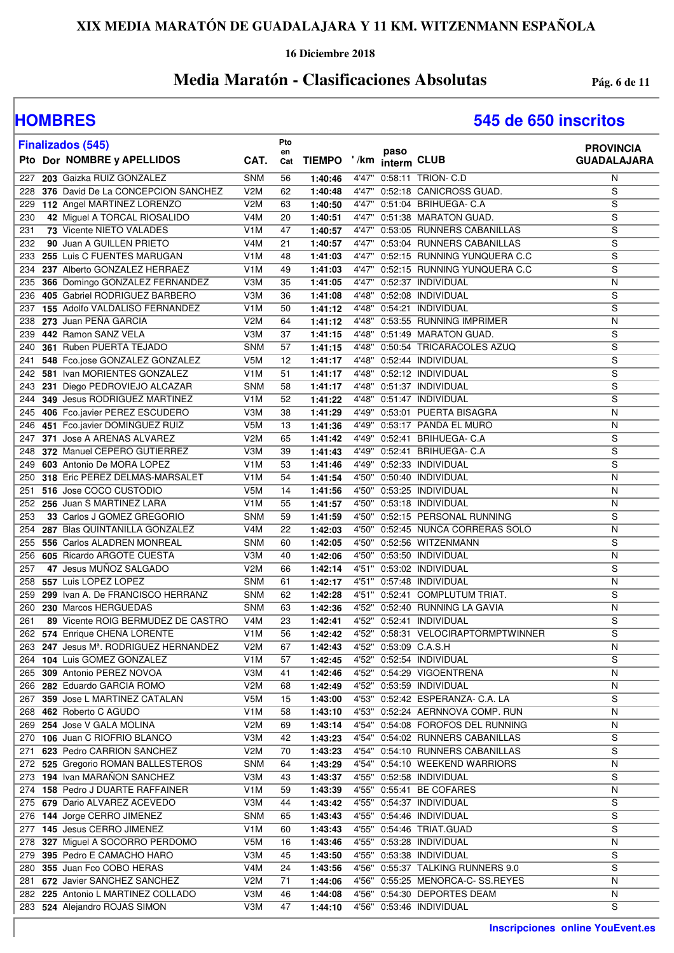### **16 Diciembre 2018**

## **Media Maratón - Clasificaciones Absolutas Pág. 6 de 11**

| <b>Finalizados (545)</b>                                     |                         | Pto       |                    |                                                                      | <b>PROVINCIA</b>        |
|--------------------------------------------------------------|-------------------------|-----------|--------------------|----------------------------------------------------------------------|-------------------------|
| Pto Dor NOMBRE y APELLIDOS                                   | CAT.                    | en<br>Cat |                    | paso<br>TIEMPO '/km interm CLUB                                      | <b>GUADALAJARA</b>      |
| 203 Gaizka RUIZ GONZALEZ<br>227                              | <b>SNM</b>              | 56        | 1:40:46            | 4'47" 0:58:11 TRION- C.D                                             | N                       |
| 376 David De La CONCEPCION SANCHEZ<br>228                    | V <sub>2</sub> M        | 62        | 1:40:48            | 4'47" 0:52:18 CANICROSS GUAD.                                        | S                       |
| 112 Angel MARTINEZ LORENZO<br>229                            | V2M                     | 63        | 1:40:50            | 4'47" 0:51:04 BRIHUEGA- C.A                                          | S                       |
| 230<br>42 Miguel A TORCAL RIOSALIDO                          | V <sub>4</sub> M        | 20        | 1:40:51            | 4'47" 0:51:38 MARATON GUAD.                                          | S                       |
| 73 Vicente NIETO VALADES<br>231                              | V <sub>1</sub> M        | 47        | 1:40:57            | 4'47" 0:53:05 RUNNERS CABANILLAS                                     | S                       |
| 232<br>90 Juan A GUILLEN PRIETO                              | V <sub>4</sub> M        | 21        | 1:40:57            | 4'47" 0:53:04 RUNNERS CABANILLAS                                     | S                       |
| 255 Luis C FUENTES MARUGAN<br>233                            | V <sub>1</sub> M        | 48        | 1:41:03            | 4'47" 0:52:15 RUNNING YUNQUERA C.C                                   | S                       |
| 237 Alberto GONZALEZ HERRAEZ<br>234                          | V1M                     | 49        | 1:41:03            | 4'47" 0:52:15 RUNNING YUNQUERA C.C                                   | S                       |
| 366 Domingo GONZALEZ FERNANDEZ<br>235                        | V3M                     | 35        | 1:41:05            | 4'47" 0:52:37 INDIVIDUAL                                             | Ν                       |
| 405 Gabriel RODRIGUEZ BARBERO<br>236                         | V3M                     | 36        | 1:41:08            | 4'48" 0:52:08 INDIVIDUAL                                             | S                       |
| 237 155 Adolfo VALDALISO FERNANDEZ                           | V <sub>1</sub> M        | 50        | 1:41:12            | 4'48" 0:54:21 INDIVIDUAL                                             | S                       |
| 273 Juan PEÑA GARCIA<br>238                                  | V2M                     | 64        | 1:41:12            | 4'48" 0:53:55 RUNNING IMPRIMER                                       | Ν                       |
| 442 Ramon SANZ VELA<br>239<br>361 Ruben PUERTA TEJADO<br>240 | V3M<br><b>SNM</b>       | 37<br>57  | 1:41:15<br>1:41:15 | 4'48" 0:51:49 MARATON GUAD.<br>4'48" 0:50:54 TRICARACOLES AZUQ       | S<br>$\overline{s}$     |
| 548 Fco.jose GONZALEZ GONZALEZ<br>241                        | V5M                     | 12        | 1:41:17            | 4'48" 0:52:44 INDIVIDUAL                                             | S                       |
| 242<br>581 Ivan MORIENTES GONZALEZ                           | V <sub>1</sub> M        | 51        | 1:41:17            | 4'48" 0:52:12 INDIVIDUAL                                             | S                       |
| 231 Diego PEDROVIEJO ALCAZAR<br>243                          | <b>SNM</b>              | 58        | 1:41:17            | 4'48" 0:51:37 INDIVIDUAL                                             | S                       |
| 349 Jesus RODRIGUEZ MARTINEZ<br>244                          | V <sub>1</sub> M        | 52        | 1:41:22            | 4'48" 0:51:47 INDIVIDUAL                                             | S                       |
| 406 Fco.javier PEREZ ESCUDERO<br>245                         | V3M                     | 38        | 1:41:29            | 4'49" 0:53:01 PUERTA BISAGRA                                         | N                       |
| 451 Fco.javier DOMINGUEZ RUIZ<br>246                         | V <sub>5</sub> M        | 13        | 1:41:36            | 4'49" 0:53:17 PANDA EL MURO                                          | N                       |
| 371 Jose A ARENAS ALVAREZ<br>247                             | V <sub>2</sub> M        | 65        | 1:41:42            | 4'49" 0:52:41 BRIHUEGA- C.A                                          | S                       |
| 372 Manuel CEPERO GUTIERREZ<br>248                           | V3M                     | 39        | 1:41:43            | 4'49" 0:52:41 BRIHUEGA- C.A                                          | S                       |
| 603 Antonio De MORA LOPEZ<br>249                             | V <sub>1</sub> M        | 53        | 1:41:46            | 4'49" 0:52:33 INDIVIDUAL                                             | S                       |
| 318 Eric PEREZ DELMAS-MARSALET<br>250                        | V <sub>1</sub> M        | 54        | 1:41:54            | 4'50" 0:50:40 INDIVIDUAL                                             | Ν                       |
| 516 Jose COCO CUSTODIO<br>251                                | V <sub>5</sub> M        | 14        | 1:41:56            | 4'50" 0:53:25 INDIVIDUAL                                             | N                       |
| 252 256 Juan S MARTINEZ LARA                                 | V <sub>1</sub> M        | 55        | 1:41:57            | 4'50" 0:53:18 INDIVIDUAL                                             | N                       |
| 253<br>33 Carlos J GOMEZ GREGORIO                            | <b>SNM</b>              | 59        | 1:41:59            | 4'50" 0:52:15 PERSONAL RUNNING                                       | S                       |
| 287 Blas QUINTANILLA GONZALEZ<br>254                         | V <sub>4</sub> M        | 22        | 1:42:03            | 4'50" 0:52:45 NUNCA CORRERAS SOLO                                    | Ν                       |
| 556 Carlos ALADREN MONREAL<br>255                            | <b>SNM</b>              | 60        | 1:42:05            | 4'50" 0:52:56 WITZENMANN                                             | S                       |
| 256 605 Ricardo ARGOTE CUESTA                                | V3M                     | 40        | 1:42:06            | 4'50" 0:53:50 INDIVIDUAL                                             | Ν                       |
| 47 Jesus MUÑOZ SALGADO<br>257                                | V2M                     | 66        | 1:42:14            | 4'51" 0:53:02 INDIVIDUAL                                             | S                       |
| 557 Luis LOPEZ LOPEZ<br>258                                  | <b>SNM</b>              | 61        | 1:42:17            | 4'51" 0:57:48 INDIVIDUAL                                             | N                       |
| 259<br>299 Ivan A. De FRANCISCO HERRANZ                      | <b>SNM</b>              | 62        | 1:42:28            | 4'51" 0:52:41 COMPLUTUM TRIAT.                                       | S                       |
| 260 230 Marcos HERGUEDAS                                     | <b>SNM</b>              | 63        | 1:42:36            | 4'52" 0:52:40 RUNNING LA GAVIA                                       | N                       |
| 89 Vicente ROIG BERMUDEZ DE CASTRO<br>261                    | V <sub>4</sub> M        | 23        | 1:42:41            | 4'52" 0:52:41 INDIVIDUAL                                             | S                       |
| 262 574 Enrique CHENA LORENTE                                | V1M                     | 56        | 1:42:42            | 4'52" 0:58:31 VELOCIRAPTORMPTWINNER                                  | $\overline{s}$          |
| 247 Jesus Mª. RODRIGUEZ HERNANDEZ<br>263                     | V2M                     | 67        | 1:42:43            | 4'52" 0:53:09 C.A.S.H                                                | $\overline{\mathsf{N}}$ |
| 264 104 Luis GOMEZ GONZALEZ                                  | V <sub>1</sub> M        | 57        | 1:42:45            | 4'52" 0:52:54 INDIVIDUAL                                             | S                       |
| 265 309 Antonio PEREZ NOVOA                                  | V3M                     | 41        | 1:42:46            | 4'52" 0:54:29 VIGOENTRENA                                            | Ν                       |
| 266 282 Eduardo GARCIA ROMO                                  | V <sub>2</sub> M        | 68        | 1:42:49            | 4'52" 0:53:59 INDIVIDUAL                                             | Ν                       |
| 267 359 Jose L MARTINEZ CATALAN<br>268 462 Roberto C AGUDO   | V5M<br>V <sub>1</sub> M | 15<br>58  | 1:43:00            | 4'53" 0:52:42 ESPERANZA- C.A. LA<br>4'53" 0:52:24 AERNNOVA COMP, RUN | S<br>Ν                  |
| 269 254 Jose V GALA MOLINA                                   | V <sub>2</sub> M        | 69        | 1:43:10<br>1:43:14 | 4'54" 0:54:08 FOROFOS DEL RUNNING                                    | N                       |
| 270 106 Juan C RIOFRIO BLANCO                                | V3M                     | 42        | 1:43:23            | 4'54" 0:54:02 RUNNERS CABANILLAS                                     | S                       |
| 623 Pedro CARRION SANCHEZ<br>271                             | V2M                     | 70        | 1:43:23            | 4'54" 0:54:10 RUNNERS CABANILLAS                                     | S                       |
| 272 525 Gregorio ROMAN BALLESTEROS                           | <b>SNM</b>              | 64        | 1:43:29            | 4'54" 0:54:10 WEEKEND WARRIORS                                       | N                       |
| 273 194 Ivan MARAÑON SANCHEZ                                 | V3M                     | 43        | 1:43:37            | 4'55" 0:52:58 INDIVIDUAL                                             | S                       |
| 274 158 Pedro J DUARTE RAFFAINER                             | V <sub>1</sub> M        | 59        | 1:43:39            | 4'55" 0:55:41 BE COFARES                                             | Ν                       |
| 275 679 Dario ALVAREZ ACEVEDO                                | V3M                     | 44        | 1:43:42            | 4'55" 0:54:37 INDIVIDUAL                                             | S                       |
| 144 Jorge CERRO JIMENEZ<br>276                               | <b>SNM</b>              | 65        | 1:43:43            | 4'55" 0:54:46 INDIVIDUAL                                             | S                       |
| 145 Jesus CERRO JIMENEZ<br>277                               | V <sub>1</sub> M        | 60        | 1:43:43            | 4'55" 0:54:46 TRIAT.GUAD                                             | S                       |
| 327 Miguel A SOCORRO PERDOMO<br>278                          | V <sub>5</sub> M        | 16        | 1:43:46            | 4'55" 0:53:28 INDIVIDUAL                                             | Ν                       |
| 395 Pedro E CAMACHO HARO<br>279                              | V3M                     | 45        | 1:43:50            | 4'55" 0:53:38 INDIVIDUAL                                             | S                       |
| 355 Juan Fco COBO HERAS<br>280                               | V <sub>4</sub> M        | 24        | 1:43:56            | 4'56" 0:55:37 TALKING RUNNERS 9.0                                    | S                       |
| 672 Javier SANCHEZ SANCHEZ<br>281                            | V <sub>2</sub> M        | 71        | 1:44:06            | 4'56" 0:55:25 MENORCA-C- SS.REYES                                    | N                       |
| 282 225 Antonio L MARTINEZ COLLADO                           | V3M                     | 46        | 1:44:08            | 4'56" 0:54:30 DEPORTES DEAM                                          | N                       |
| 283 524 Alejandro ROJAS SIMON                                | V3M                     | 47        | 1:44:10            | 4'56" 0:53:46 INDIVIDUAL                                             | S                       |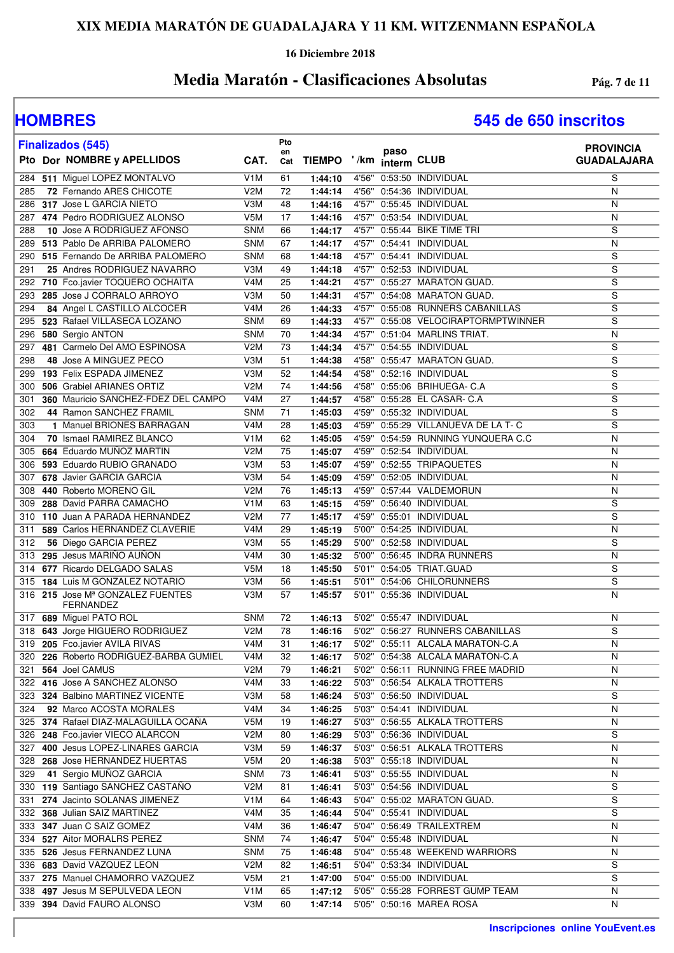### **16 Diciembre 2018**

## **Media Maratón - Clasificaciones Absolutas Pág. 7 de 11**

|     | <b>Finalizados (545)</b>                                            |                  | Pto             |                         |      |                                                        | <b>PROVINCIA</b>   |
|-----|---------------------------------------------------------------------|------------------|-----------------|-------------------------|------|--------------------------------------------------------|--------------------|
|     | Pto Dor NOMBRE y APELLIDOS                                          | CAT.             | en<br>Cat       | TIEMPO '/km interm CLUB | paso |                                                        | <b>GUADALAJARA</b> |
| 284 | 511 Miguel LOPEZ MONTALVO                                           | V <sub>1</sub> M | 61              | 1:44:10                 |      | 4'56" 0:53:50 INDIVIDUAL                               | S                  |
| 285 | 72 Fernando ARES CHICOTE                                            | V <sub>2</sub> M | 72              | 1:44:14                 |      | 4'56" 0:54:36 INDIVIDUAL                               | N                  |
| 286 | 317 Jose L GARCIA NIETO                                             | V3M              | 48              | 1:44:16                 |      | 4'57" 0:55:45 INDIVIDUAL                               | N                  |
|     | 287 474 Pedro RODRIGUEZ ALONSO                                      | V5M              | 17              | 1:44:16                 |      | 4'57" 0:53:54 INDIVIDUAL                               | N                  |
| 288 | <b>10 Jose A RODRIGUEZ AFONSO</b>                                   | <b>SNM</b>       | 66              | 1:44:17                 |      | 4'57" 0:55:44 BIKE TIME TRI                            | S                  |
| 289 | 513 Pablo De ARRIBA PALOMERO                                        | <b>SNM</b>       | 67              | 1:44:17                 |      | 4'57" 0:54:41 INDIVIDUAL                               | N                  |
| 290 | 515 Fernando De ARRIBA PALOMERO                                     | <b>SNM</b>       | 68              | 1:44:18                 |      | 4'57" 0:54:41 INDIVIDUAL                               | S                  |
| 291 | 25 Andres RODRIGUEZ NAVARRO                                         | V3M              | 49              | 1:44:18                 |      | 4'57" 0:52:53 INDIVIDUAL                               | S                  |
| 292 | 710 Fco.javier TOQUERO OCHAITA                                      | V4M              | 25              | 1:44:21                 |      | 4'57" 0:55:27 MARATON GUAD.                            | S                  |
| 293 | 285 Jose J CORRALO ARROYO                                           | V3M              | 50              | 1:44:31                 |      | 4'57" 0:54:08 MARATON GUAD.                            | S                  |
| 294 | 84 Angel L CASTILLO ALCOCER                                         | V <sub>4</sub> M | 26              | 1:44:33                 |      | 4'57" 0:55:08 RUNNERS CABANILLAS                       | S                  |
| 295 | 523 Rafael VILLASECA LOZANO                                         | <b>SNM</b>       | 69              | 1:44:33                 |      | 4'57" 0:55:08 VELOCIRAPTORMPTWINNER                    | S                  |
| 296 | 580 Sergio ANTON                                                    | <b>SNM</b>       | 70              | 1:44:34                 |      | 4'57" 0:51:04 MARLINS TRIAT.                           | N                  |
| 297 | 481 Carmelo Del AMO ESPINOSA                                        | V <sub>2</sub> M | 73              | 1:44:34                 |      | 4'57" 0:54:55 INDIVIDUAL                               | S                  |
| 298 | 48 Jose A MINGUEZ PECO                                              | V3M              | 51              | 1:44:38                 |      | 4'58" 0:55:47 MARATON GUAD.                            | S                  |
|     | 299 193 Felix ESPADA JIMENEZ                                        | V3M              | 52              | 1:44:54                 |      | 4'58" 0:52:16 INDIVIDUAL                               | S                  |
| 300 | 506 Grabiel ARIANES ORTIZ                                           | V <sub>2</sub> M | 74              | 1:44:56                 |      | 4'58" 0:55:06 BRIHUEGA- C.A                            | S                  |
| 301 | 360 Mauricio SANCHEZ-FDEZ DEL CAMPO                                 | V <sub>4</sub> M | 27              | 1:44:57                 |      | 4'58" 0:55:28 EL CASAR- C.A                            | S                  |
| 302 | 44 Ramon SANCHEZ FRAMIL                                             | <b>SNM</b>       | 71              | 1:45:03                 |      | 4'59" 0:55:32 INDIVIDUAL                               | S                  |
| 303 | 1 Manuel BRIONES BARRAGAN                                           | V <sub>4</sub> M | 28              | 1:45:03                 |      | 4'59" 0:55:29 VILLANUEVA DE LA T- C                    | S                  |
| 304 | 70 Ismael RAMIREZ BLANCO                                            | V <sub>1</sub> M | 62              | 1:45:05                 |      | 4'59" 0:54:59 RUNNING YUNQUERA C.C                     | N                  |
| 305 | 664 Eduardo MUÑOZ MARTIN                                            | V2M              | 75              | 1:45:07                 |      | 4'59" 0:52:54 INDIVIDUAL                               | N                  |
| 306 | 593 Eduardo RUBIO GRANADO                                           | V3M              | 53              | 1:45:07                 |      | 4'59" 0:52:55 TRIPAQUETES                              | N                  |
| 307 | 678 Javier GARCIA GARCIA                                            | V3M              | 54              | 1:45:09                 |      | 4'59" 0:52:05 INDIVIDUAL                               | N                  |
| 308 | 440 Roberto MORENO GIL                                              | V2M              | 76              | 1:45:13                 |      | 4'59" 0:57:44 VALDEMORUN                               | N                  |
| 309 | 288 David PARRA CAMACHO                                             | V <sub>1</sub> M | 63              | 1:45:15                 |      | 4'59" 0:56:40 INDIVIDUAL                               | S                  |
|     | 310 110 Juan A PARADA HERNANDEZ                                     | V <sub>2</sub> M | 77              | 1:45:17                 |      | 4'59" 0:55:01 INDIVIDUAL                               | $\overline{s}$     |
| 311 | 589 Carlos HERNANDEZ CLAVERIE                                       | V <sub>4</sub> M | 29              | 1:45:19                 |      | 5'00" 0:54:25 INDIVIDUAL                               | N                  |
| 312 | 56 Diego GARCIA PEREZ                                               | V3M              | 55              | 1:45:29                 |      | 5'00" 0:52:58 INDIVIDUAL                               | S                  |
| 313 | 295 Jesus MARIÑO AUÑON                                              | V <sub>4</sub> M | 30              | 1:45:32                 |      | 5'00" 0:56:45 INDRA RUNNERS                            | N                  |
| 314 | 677 Ricardo DELGADO SALAS                                           | V <sub>5</sub> M | 18              | 1:45:50                 |      | 5'01" 0:54:05 TRIAT.GUAD                               | S                  |
|     | 315 184 Luis M GONZALEZ NOTARIO<br>316 215 Jose Mª GONZALEZ FUENTES | V3M<br>V3M       | 56<br>57        | 1:45:51                 |      | 5'01" 0:54:06 CHILORUNNERS<br>5'01" 0:55:36 INDIVIDUAL | S<br>N             |
|     | FERNANDEZ                                                           |                  |                 | 1:45:57                 |      |                                                        |                    |
|     | 317 689 Miguel PATO ROL                                             | <b>SNM</b>       | 72              | 1:46:13                 |      | 5'02" 0:55:47 INDIVIDUAL                               | N                  |
|     | 318 643 Jorge HIGUERO RODRIGUEZ                                     | V2M              | 78              | 1:46:16                 |      | 5'02" 0:56:27 RUNNERS CABANILLAS                       | S                  |
|     | 319 205 Fco.javier AVILA RIVAS                                      | V4M              | $\overline{31}$ | 1:46:17                 |      | 5'02" 0:55:11 ALCALA MARATON-C.A                       | Ν                  |
|     | 320 226 Roberto RODRIGUEZ-BARBA GUMIEL                              | V <sub>4</sub> M | 32              | 1:46:17                 |      | 5'02" 0:54:38 ALCALA MARATON-C.A                       | N                  |
| 321 | 564 Joel CAMUS                                                      | V2M              | 79              | 1:46:21                 |      | 5'02" 0:56:11 RUNNING FREE MADRID                      | N                  |
|     | 322 416 Jose A SANCHEZ ALONSO                                       | V <sub>4</sub> M | 33              | 1:46:22                 |      | 5'03" 0:56:54 ALKALA TROTTERS                          | $\mathsf{N}$       |
|     | 323 324 Balbino MARTINEZ VICENTE                                    | V3M              | 58              | 1:46:24                 |      | 5'03" 0:56:50 INDIVIDUAL                               | S                  |
| 324 | 92 Marco ACOSTA MORALES                                             | V4M              | 34              | 1:46:25                 |      | 5'03" 0:54:41 INDIVIDUAL                               | N                  |
|     | 325 374 Rafael DIAZ-MALAGUILLA OCAÑA                                | V <sub>5</sub> M | 19              | 1:46:27                 |      | 5'03" 0:56:55 ALKALA TROTTERS                          | N                  |
|     | 326 248 Fco.javier VIECO ALARCON                                    | V <sub>2</sub> M | 80              | 1:46:29                 |      | 5'03" 0:56:36 INDIVIDUAL                               | S                  |
| 327 | 400 Jesus LOPEZ-LINARES GARCIA                                      | V3M              | 59              | 1:46:37                 |      | 5'03" 0:56:51 ALKALA TROTTERS                          | N                  |
| 328 | 268 Jose HERNANDEZ HUERTAS                                          | V <sub>5</sub> M | 20              | 1:46:38                 |      | 5'03" 0:55:18 INDIVIDUAL                               | $\mathsf{N}$       |
| 329 | 41 Sergio MUÑOZ GARCIA                                              | <b>SNM</b>       | 73              | 1:46:41                 |      | 5'03" 0:55:55 INDIVIDUAL                               | N                  |
|     | 330 119 Santiago SANCHEZ CASTAÑO                                    | V <sub>2</sub> M | 81              | 1:46:41                 |      | 5'03" 0:54:56 INDIVIDUAL                               | S                  |
| 331 | 274 Jacinto SOLANAS JIMENEZ                                         | V <sub>1</sub> M | 64              | 1:46:43                 |      | 5'04" 0:55:02 MARATON GUAD.                            | S                  |
| 332 | 368 Julian SAIZ MARTINEZ                                            | V4M              | 35              | 1:46:44                 |      | 5'04" 0:55:41 INDIVIDUAL                               | S                  |
|     | 333 347 Juan C SAIZ GOMEZ                                           | V4M              | 36              | 1:46:47                 |      | 5'04" 0:56:49 TRAILEXTREM                              | N                  |
|     | 334 527 Aitor MORALRS PEREZ                                         | <b>SNM</b>       | 74              | 1:46:47                 |      | 5'04" 0:55:48 INDIVIDUAL                               | $\mathsf{N}$       |
|     | 335 526 Jesus FERNANDEZ LUNA                                        | <b>SNM</b>       | 75              | 1:46:48                 |      | 5'04" 0:55:48 WEEKEND WARRIORS                         | N                  |
|     | 336 683 David VAZQUEZ LEON                                          | V <sub>2</sub> M | 82              | 1:46:51                 |      | 5'04" 0:53:34 INDIVIDUAL                               | S                  |
|     | 337 275 Manuel CHAMORRO VAZQUEZ                                     | V <sub>5</sub> M | 21              | 1:47:00                 |      | 5'04" 0:55:00 INDIVIDUAL                               | S                  |
|     | 338 497 Jesus M SEPULVEDA LEON                                      | V <sub>1</sub> M | 65              | 1:47:12                 |      | 5'05" 0:55:28 FORREST GUMP TEAM                        | $\mathsf{N}$       |
|     | 339 394 David FAURO ALONSO                                          | V3M              | 60              | 1:47:14                 |      | 5'05" 0:50:16 MAREA ROSA                               | N                  |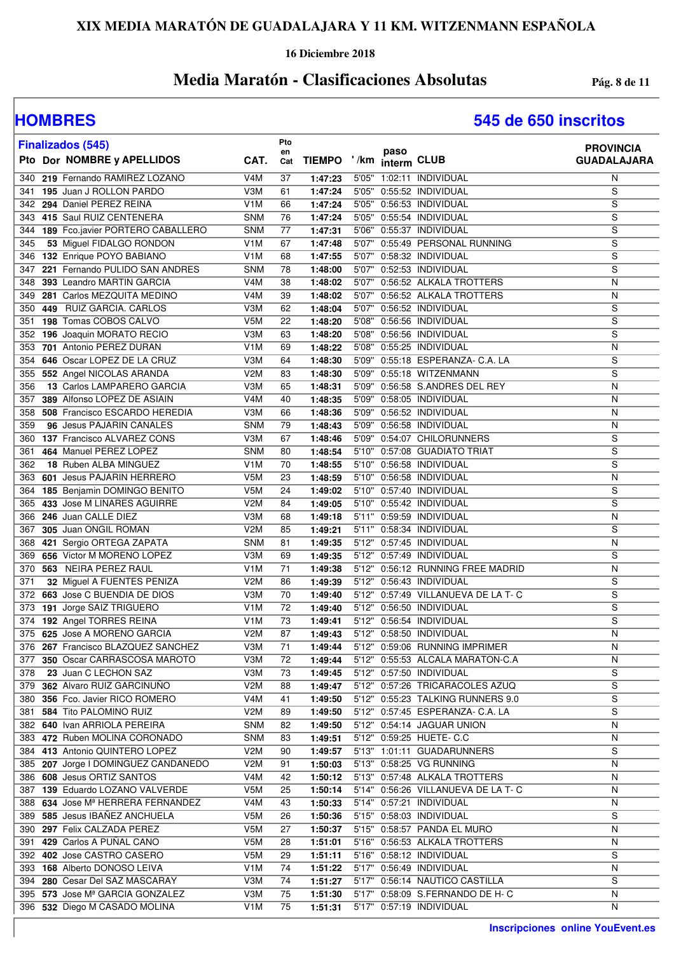### **16 Diciembre 2018**

## **Media Maratón - Clasificaciones Absolutas Pág. 8 de 11**

| <b>Finalizados (545)</b>                                      |                   | Pto             |                    | paso                    |                                                              | <b>PROVINCIA</b>        |
|---------------------------------------------------------------|-------------------|-----------------|--------------------|-------------------------|--------------------------------------------------------------|-------------------------|
| Pto Dor NOMBRE y APELLIDOS                                    | CAT.              | en<br>Cat       |                    | TIEMPO '/km interm CLUB |                                                              | <b>GUADALAJARA</b>      |
| 219 Fernando RAMIREZ LOZANO<br>340                            | V4M               | 37              | 1:47:23            |                         | 5'05" 1:02:11 INDIVIDUAL                                     | N                       |
| 195 Juan J ROLLON PARDO<br>341                                | V3M               | 61              | 1:47:24            |                         | 5'05" 0:55:52 INDIVIDUAL                                     | S                       |
| 294 Daniel PEREZ REINA<br>342                                 | V <sub>1</sub> M  | 66              | 1:47:24            |                         | 5'05" 0:56:53 INDIVIDUAL                                     | S                       |
| 415 Saul RUIZ CENTENERA<br>343                                | <b>SNM</b>        | 76              | 1:47:24            |                         | 5'05" 0:55:54 INDIVIDUAL                                     | S                       |
| 189 Fco.javier PORTERO CABALLERO<br>344                       | <b>SNM</b>        | 77              | 1:47:31            |                         | 5'06" 0:55:37 INDIVIDUAL                                     | S                       |
| 53 Miguel FIDALGO RONDON<br>345                               | V <sub>1</sub> M  | 67              | 1:47:48            |                         | 5'07" 0:55:49 PERSONAL RUNNING                               | S                       |
| 132 Enrique POYO BABIANO<br>346                               | V <sub>1</sub> M  | 68              | 1:47:55            |                         | 5'07" 0:58:32 INDIVIDUAL                                     | S                       |
| 221 Fernando PULIDO SAN ANDRES<br>347                         | <b>SNM</b>        | 78              | 1:48:00            |                         | 5'07" 0:52:53 INDIVIDUAL                                     | S                       |
| 393 Leandro MARTIN GARCIA<br>348                              | V4M               | 38              | 1:48:02            |                         | 5'07" 0:56:52 ALKALA TROTTERS                                | N                       |
| 281 Carlos MEZQUITA MEDINO<br>349                             | V4M               | 39              | 1:48:02            |                         | 5'07" 0:56:52 ALKALA TROTTERS                                | N                       |
| 449 RUIZ GARCIA. CARLOS<br>350                                | V3M               | 62              | 1:48:04            |                         | 5'07" 0:56:52 INDIVIDUAL                                     | S                       |
| 198 Tomas COBOS CALVO<br>351                                  | V <sub>5</sub> M  | 22              | 1:48:20            |                         | 5'08" 0:56:56 INDIVIDUAL                                     | S                       |
| 196 Joaquin MORATO RECIO<br>352                               | V3M               | 63              | 1:48:20            |                         | 5'08" 0:56:56 INDIVIDUAL                                     | S                       |
| 701 Antonio PEREZ DURAN<br>353                                | V <sub>1</sub> M  | 69              | 1:48:22            |                         | 5'08" 0:55:25 INDIVIDUAL                                     | N                       |
| 646 Oscar LOPEZ DE LA CRUZ<br>354                             | V3M               | 64              | 1:48:30            |                         | 5'09" 0:55:18 ESPERANZA- C.A. LA<br>5'09" 0:55:18 WITZENMANN | S                       |
| 552 Angel NICOLAS ARANDA<br>355<br>13 Carlos LAMPARERO GARCIA | V <sub>2</sub> M  | 83              | 1:48:30            |                         | 0:56:58 S.ANDRES DEL REY                                     | S<br>N                  |
| 356<br>389 Alfonso LOPEZ DE ASIAIN<br>357                     | V3M<br>V4M        | 65<br>40        | 1:48:31<br>1:48:35 | 5'09"<br>5'09"          | 0:58:05 INDIVIDUAL                                           | N                       |
| 508 Francisco ESCARDO HEREDIA<br>358                          | V3M               | 66              | 1:48:36            |                         | 5'09" 0:56:52 INDIVIDUAL                                     | N                       |
| 96 Jesus PAJARIN CANALES<br>359                               | <b>SNM</b>        | 79              | 1:48:43            |                         | 5'09" 0:56:58 INDIVIDUAL                                     | N                       |
| 137 Francisco ALVAREZ CONS<br>360                             | V3M               | 67              | 1:48:46            |                         | 5'09" 0:54:07 CHILORUNNERS                                   | S                       |
| 464 Manuel PEREZ LOPEZ<br>361                                 | <b>SNM</b>        | 80              | 1:48:54            |                         | 5'10" 0:57:08 GUADIATO TRIAT                                 | S                       |
| 18 Ruben ALBA MINGUEZ<br>362                                  | V <sub>1</sub> M  | 70              | 1:48:55            |                         | 5'10" 0:56:58 INDIVIDUAL                                     | S                       |
| 601 Jesus PAJARIN HERRERO<br>363                              | V <sub>5</sub> M  | 23              | 1:48:59            |                         | 5'10" 0:56:58 INDIVIDUAL                                     | N                       |
| 185 Benjamin DOMINGO BENITO<br>364                            | V <sub>5</sub> M  | 24              | 1:49:02            |                         | 5'10" 0:57:40 INDIVIDUAL                                     | S                       |
| 433 Jose M LINARES AGUIRRE<br>365                             | V <sub>2</sub> M  | 84              | 1:49:05            |                         | 5'10" 0:55:42 INDIVIDUAL                                     | S                       |
| 246 Juan CALLE DIEZ<br>366                                    | V3M               | 68              | 1:49:18            |                         | 5'11" 0:59:59 INDIVIDUAL                                     | N                       |
| 305 Juan ONGIL ROMAN<br>367                                   | V <sub>2</sub> M  | 85              | 1:49:21            |                         | 5'11" 0:58:34 INDIVIDUAL                                     | S                       |
| 421 Sergio ORTEGA ZAPATA<br>368                               | <b>SNM</b>        | 81              | 1:49:35            |                         | 5'12" 0:57:45 INDIVIDUAL                                     | N                       |
| 656 Victor M MORENO LOPEZ<br>369                              | V3M               | 69              | 1:49:35            |                         | 5'12" 0:57:49 INDIVIDUAL                                     | S                       |
| 370<br>563 NEIRA PEREZ RAUL                                   | V <sub>1</sub> M  | 71              | 1:49:38            |                         | 5'12" 0:56:12 RUNNING FREE MADRID                            | N                       |
| 371<br>32 Miguel A FUENTES PENIZA                             | V2M               | 86              | 1:49:39            |                         | 5'12" 0:56:43 INDIVIDUAL                                     | S                       |
| 663 Jose C BUENDIA DE DIOS<br>372                             | V3M               | 70              | 1:49:40            |                         | 5'12" 0:57:49 VILLANUEVA DE LA T-C                           | S                       |
| 191 Jorge SAIZ TRIGUERO<br>373                                | V <sub>1</sub> M  | 72              | 1:49:40            |                         | 5'12" 0:56:50 INDIVIDUAL                                     | S                       |
| 192 Angel TORRES REINA<br>374                                 | V <sub>1</sub> M  | 73              | 1:49:41            |                         | 5'12" 0:56:54 INDIVIDUAL                                     | $\overline{s}$          |
| 375 625 Jose A MORENO GARCIA                                  | V2M               | 87              | 1:49:43            |                         | 5'12" 0:58:50 INDIVIDUAL                                     | N                       |
| 376 267 Francisco BLAZQUEZ SANCHEZ                            | V3M               | $\overline{71}$ |                    |                         | 1:49:44 5'12" 0:59:06 RUNNING IMPRIMER                       | $\overline{\mathsf{N}}$ |
| 377 350 Oscar CARRASCOSA MAROTO                               | V3M               | 72              | 1:49:44            |                         | 5'12" 0:55:53 ALCALA MARATON-C.A                             | N                       |
| 23 Juan C LECHON SAZ<br>378                                   | V3M               | 73              | 1:49:45            |                         | 5'12" 0:57:50 INDIVIDUAL                                     | S                       |
| 379 362 Alvaro RUIZ GARCINUÑO                                 | V <sub>2</sub> M  | 88              | 1:49:47            |                         | 5'12" 0:57:26 TRICARACOLES AZUQ                              | S                       |
| 380 356 Fco. Javier RICO ROMERO                               | V4M               | 41              | 1:49:50            |                         | 5'12" 0:55:23 TALKING RUNNERS 9.0                            | S                       |
| 584 Tito PALOMINO RUIZ<br>381                                 | V <sub>2</sub> M  | 89              | 1:49:50            |                         | 5'12" 0:57:45 ESPERANZA- C.A. LA                             | S                       |
| 382 640 Ivan ARRIOLA PEREIRA<br>383 472 Ruben MOLINA CORONADO | <b>SNM</b>        | 82              | 1:49:50            |                         | 5'12" 0:54:14 JAGUAR UNION<br>5'12" 0:59:25 HUETE- C.C       | N                       |
| 384 413 Antonio QUINTERO LOPEZ                                | <b>SNM</b><br>V2M | 83<br>90        | 1:49:51<br>1:49:57 |                         | 5'13" 1:01:11 GUADARUNNERS                                   | N<br>S                  |
| 207 Jorge I DOMINGUEZ CANDANEDO<br>385                        | V2M               | 91              | 1:50:03            |                         | 5'13" 0:58:25 VG RUNNING                                     | N                       |
| 386 608 Jesus ORTIZ SANTOS                                    | V <sub>4</sub> M  | 42              | 1:50:12            |                         | 5'13" 0:57:48 ALKALA TROTTERS                                | N                       |
| 387 139 Eduardo LOZANO VALVERDE                               | V5M               | 25              | 1:50:14            |                         | 5'14" 0:56:26 VILLANUEVA DE LA T-C                           | N                       |
| 388 634 Jose Mª HERRERA FERNANDEZ                             | V4M               | 43              | 1:50:33            |                         | 5'14" 0:57:21 INDIVIDUAL                                     | N                       |
| 389 585 Jesus IBAÑEZ ANCHUELA                                 | V5M               | 26              | 1:50:36            |                         | 5'15" 0:58:03 INDIVIDUAL                                     | S                       |
| 390 297 Felix CALZADA PEREZ                                   | V <sub>5</sub> M  | 27              | 1:50:37            |                         | 5'15" 0:58:57 PANDA EL MURO                                  | N                       |
| 429 Carlos A PUÑAL CANO<br>391                                | V5M               | 28              | 1:51:01            |                         | 5'16" 0:56:53 ALKALA TROTTERS                                | N                       |
| 392 402 Jose CASTRO CASERO                                    | V5M               | 29              | 1:51:11            |                         | 5'16" 0:58:12 INDIVIDUAL                                     | S                       |
| 393 168 Alberto DONOSO LEIVA                                  | V <sub>1</sub> M  | 74              | 1:51:22            |                         | 5'17" 0:56:49 INDIVIDUAL                                     | N                       |
| 394 280 Cesar Del SAZ MASCARAY                                | V3M               | 74              | 1:51:27            |                         | 5'17" 0:56:14 NAUTICO CASTILLA                               | S                       |
| 395 573 Jose Mª GARCIA GONZALEZ                               | V3M               | 75              | 1:51:30            |                         | 5'17" 0:58:09 S.FERNANDO DE H- C                             | N                       |
| 396 532 Diego M CASADO MOLINA                                 | V1M               | 75              | 1:51:31            |                         | 5'17" 0:57:19 INDIVIDUAL                                     | N                       |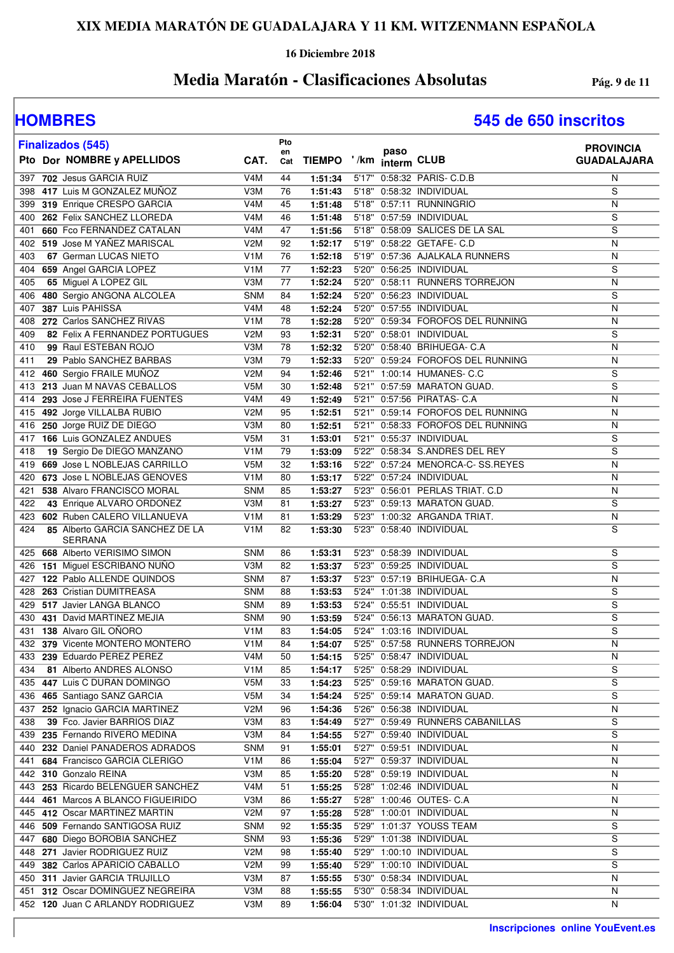### **16 Diciembre 2018**

## **Media Maratón - Clasificaciones Absolutas Pág. 9 de 11**

|            | <b>Finalizados (545)</b>                                  |                   | Pto             |                         |      |                                                             | <b>PROVINCIA</b>   |
|------------|-----------------------------------------------------------|-------------------|-----------------|-------------------------|------|-------------------------------------------------------------|--------------------|
|            | Pto Dor NOMBRE y APELLIDOS                                | CAT.              | en<br>Cat       | TIEMPO '/km interm CLUB | paso |                                                             | <b>GUADALAJARA</b> |
| 397        | 702 Jesus GARCIA RUIZ                                     | V <sub>4</sub> M  | 44              | 1:51:34                 |      | 5'17" 0:58:32 PARIS- C.D.B                                  | N                  |
| 398        | 417 Luis M GONZALEZ MUÑOZ                                 | V3M               | 76              | 1:51:43                 |      | 5'18" 0:58:32 INDIVIDUAL                                    | S                  |
| 399        | 319 Enrique CRESPO GARCIA                                 | V <sub>4</sub> M  | 45              | 1:51:48                 |      | 5'18" 0:57:11 RUNNINGRIO                                    | N                  |
| 400        | 262 Felix SANCHEZ LLOREDA                                 | V4M               | 46              | 1:51:48                 |      | 5'18" 0:57:59 INDIVIDUAL                                    | S                  |
| 401        | 660 Fco FERNANDEZ CATALAN                                 | V <sub>4</sub> M  | 47              | 1:51:56                 |      | 5'18" 0:58:09 SALICES DE LA SAL                             | $\mathbf S$        |
|            | 402 519 Jose M YAÑEZ MARISCAL                             | V2M               | 92              | 1:52:17                 |      | 5'19" 0:58:22 GETAFE- C.D                                   | $\overline{N}$     |
| 403        | 67 German LUCAS NIETO                                     | V <sub>1</sub> M  | 76              | 1:52:18                 |      | 5'19" 0:57:36 AJALKALA RUNNERS                              | N                  |
|            | 404 659 Angel GARCIA LOPEZ                                | V <sub>1</sub> M  | 77              | 1:52:23                 |      | 5'20" 0:56:25 INDIVIDUAL                                    | $\overline{s}$     |
| 405        | 65 Miguel A LOPEZ GIL                                     | V3M               | 77              | 1:52:24                 |      | 5'20" 0:58:11 RUNNERS TORREJON                              | N                  |
| 406        | 480 Sergio ANGONA ALCOLEA                                 | <b>SNM</b>        | 84              | 1:52:24                 |      | 5'20" 0:56:23 INDIVIDUAL                                    | S                  |
| 407        | 387 Luis PAHISSA                                          | V <sub>4</sub> M  | 48              | 1:52:24                 |      | 5'20" 0:57:55 INDIVIDUAL                                    | N                  |
| 408        | 272 Carlos SANCHEZ RIVAS                                  | V <sub>1</sub> M  | 78              | 1:52:28                 |      | 5'20" 0:59:34 FOROFOS DEL RUNNING                           | N                  |
| 409        | 82 Felix A FERNANDEZ PORTUGUES                            | V <sub>2</sub> M  | 93              | 1:52:31                 |      | 5'20" 0:58:01 INDIVIDUAL                                    | S                  |
| 410        | 99 Raul ESTEBAN ROJO                                      | V3M               | 78              | 1:52:32                 |      | 5'20" 0:58:40 BRIHUEGA- C.A                                 | N                  |
| 411        | 29 Pablo SANCHEZ BARBAS                                   | V3M               | 79              | 1:52:33                 |      | 5'20" 0:59:24 FOROFOS DEL RUNNING                           | N                  |
| 412        | 460 Sergio FRAILE MUÑOZ                                   | V <sub>2</sub> M  | 94              | 1:52:46                 |      | 5'21" 1:00:14 HUMANES- C.C                                  | S                  |
| 413        | 213 Juan M NAVAS CEBALLOS                                 | V <sub>5</sub> M  | 30              | 1:52:48                 |      | 5'21" 0:57:59 MARATON GUAD.                                 | $\mathbf S$        |
| 414        | 293 Jose J FERREIRA FUENTES                               | V4M               | 49              | 1:52:49                 |      | 5'21" 0:57:56 PIRATAS- C.A                                  | $\overline{N}$     |
| 415        | 492 Jorge VILLALBA RUBIO                                  | V <sub>2</sub> M  | 95              | 1:52:51                 |      | 5'21" 0:59:14 FOROFOS DEL RUNNING                           | N                  |
| 416        | 250 Jorge RUIZ DE DIEGO                                   | V3M               | 80              | 1:52:51                 |      | 5'21" 0:58:33 FOROFOS DEL RUNNING                           | $\mathsf{N}$       |
|            | 417 166 Luis GONZALEZ ANDUES                              | V <sub>5</sub> M  | 31              | 1:53:01                 |      | 5'21" 0:55:37 INDIVIDUAL                                    | S                  |
| 418        | 19 Sergio De DIEGO MANZANO                                | V <sub>1</sub> M  | 79              | 1:53:09                 |      | 5'22" 0:58:34 S.ANDRES DEL REY                              | $\overline{s}$     |
| 419        | 669 Jose L NOBLEJAS CARRILLO                              | V <sub>5</sub> M  | 32              | 1:53:16                 |      | 5'22" 0:57:24 MENORCA-C- SS.REYES                           | N                  |
| 420        | 673 Jose L NOBLEJAS GENOVES<br>538 Alvaro FRANCISCO MORAL | V <sub>1</sub> M  | 80              | 1:53:17                 |      | 5'22" 0:57:24 INDIVIDUAL<br>5'23" 0:56:01 PERLAS TRIAT. C.D | N<br>N             |
| 421        |                                                           | <b>SNM</b><br>V3M | 85              | 1:53:27<br>1:53:27      |      | 5'23" 0:59:13 MARATON GUAD.                                 | S                  |
| 422<br>423 | 43 Enrique ALVARO ORDOÑEZ<br>602 Ruben CALERO VILLANUEVA  | V <sub>1</sub> M  | 81<br>81        | 1:53:29                 |      | 5'23" 1:00:32 ARGANDA TRIAT.                                | N                  |
| 424        | 85 Alberto GARCIA SANCHEZ DE LA                           | V <sub>1</sub> M  | 82              | 1:53:30                 |      | 5'23" 0:58:40 INDIVIDUAL                                    | $\overline{s}$     |
|            | SERRANA                                                   |                   |                 |                         |      |                                                             |                    |
| 425        | 668 Alberto VERISIMO SIMON                                | <b>SNM</b>        | 86              | 1:53:31                 |      | 5'23" 0:58:39 INDIVIDUAL                                    | S                  |
| 426        | 151 Miguel ESCRIBANO NUÑO                                 | V3M               | 82              | 1:53:37                 |      | 5'23" 0:59:25 INDIVIDUAL                                    | S                  |
|            | 427 122 Pablo ALLENDE QUINDOS                             | <b>SNM</b>        | 87              | 1:53:37                 |      | 5'23" 0:57:19 BRIHUEGA- C.A                                 | N                  |
|            | 428 263 Cristian DUMITREASA                               | <b>SNM</b>        | 88              | 1:53:53                 |      | 5'24" 1:01:38 INDIVIDUAL                                    | S                  |
|            | 429 517 Javier LANGA BLANCO                               | <b>SNM</b>        | 89              | 1:53:53                 |      | 5'24" 0:55:51 INDIVIDUAL                                    | S                  |
| 430        | 431 David MARTINEZ MEJIA                                  | <b>SNM</b>        | 90              | 1:53:59                 |      | 5'24" 0:56:13 MARATON GUAD.                                 | S                  |
|            | 431 138 Alvaro GIL OÑORO                                  | V <sub>1</sub> M  | 83              | 1:54:05                 |      | 5'24" 1:03:16 INDIVIDUAL                                    | $\mathbf S$        |
|            | 432 379 Vicente MONTERO MONTERO                           | V1M               | $\overline{84}$ | 1:54:07                 |      | 5'25" 0:57:58 RUNNERS TORREJON                              | $\overline{N}$     |
|            | 433 239 Eduardo PEREZ PEREZ                               | V4M               | 50              | 1:54:15                 |      | 5'25" 0:58:47 INDIVIDUAL                                    | N                  |
| 434        | 81 Alberto ANDRES ALONSO                                  | V <sub>1</sub> M  | 85              | 1:54:17                 |      | 5'25" 0:58:29 INDIVIDUAL                                    | S                  |
|            | 435 447 Luis C DURAN DOMINGO                              | V5M               | 33              | 1:54:23                 |      | 5'25" 0:59:16 MARATON GUAD.                                 | S                  |
| 436        | 465 Santiago SANZ GARCIA                                  | V5M               | 34              | 1:54:24                 |      | 5'25" 0:59:14 MARATON GUAD.                                 | S                  |
| 437        | 252 Ignacio GARCIA MARTINEZ                               | V <sub>2</sub> M  | 96              | 1:54:36                 |      | 5'26" 0:56:38 INDIVIDUAL                                    | N                  |
| 438        | 39 Fco. Javier BARRIOS DIAZ                               | V3M               | 83              | 1:54:49                 |      | 5'27" 0:59:49 RUNNERS CABANILLAS                            | S                  |
|            | 439 235 Fernando RIVERO MEDINA                            | V3M               | 84              | 1:54:55                 |      | 5'27" 0:59:40 INDIVIDUAL                                    | S                  |
|            | 440 232 Daniel PANADEROS ADRADOS                          | <b>SNM</b>        | 91              | 1:55:01                 |      | 5'27" 0:59:51 INDIVIDUAL                                    | N                  |
| 441        | 684 Francisco GARCIA CLERIGO                              | V <sub>1</sub> M  | 86              | 1:55:04                 |      | 5'27" 0:59:37 INDIVIDUAL                                    | N                  |
| 442        | 310 Gonzalo REINA                                         | V3M               | 85              | 1:55:20                 |      | 5'28" 0:59:19 INDIVIDUAL                                    | N                  |
|            | 443 253 Ricardo BELENGUER SANCHEZ                         | V4M               | 51              | 1:55:25                 |      | 5'28" 1:02:46 INDIVIDUAL                                    | N                  |
| 444        | 461 Marcos A BLANCO FIGUEIRIDO                            | V3M               | 86              | 1:55:27                 |      | 5'28" 1:00:46 OUTES- C.A                                    | N                  |
|            | 445 412 Oscar MARTINEZ MARTIN                             | V2M               | 97              | 1:55:28                 |      | 5'28" 1:00:01 INDIVIDUAL                                    | N                  |
|            | 446 509 Fernando SANTIGOSA RUIZ                           | <b>SNM</b>        | 92              | 1:55:35                 |      | 5'29" 1:01:37 YOUSS TEAM                                    | S                  |
| 447        | 680 Diego BOROBIA SANCHEZ                                 | <b>SNM</b>        | 93              | 1:55:36                 |      | 5'29" 1:01:38 INDIVIDUAL                                    | S                  |
| 448        | 271 Javier RODRIGUEZ RUIZ                                 | V2M               | 98              | 1:55:40                 |      | 5'29" 1:00:10 INDIVIDUAL                                    | S                  |
| 449        | 382 Carlos APARICIO CABALLO                               | V <sub>2</sub> M  | 99              | 1:55:40                 |      | 5'29" 1:00:10 INDIVIDUAL                                    | S                  |
| 450        | 311 Javier GARCIA TRUJILLO                                | V3M               | 87              | 1:55:55                 |      | 5'30" 0:58:34 INDIVIDUAL                                    | N                  |
| 451        | 312 Oscar DOMINGUEZ NEGREIRA                              | V3M               | 88              | 1:55:55                 |      | 5'30" 0:58:34 INDIVIDUAL                                    | N                  |
|            | 452 120 Juan C ARLANDY RODRIGUEZ                          | V3M               | 89              | 1:56:04                 |      | 5'30" 1:01:32 INDIVIDUAL                                    | N                  |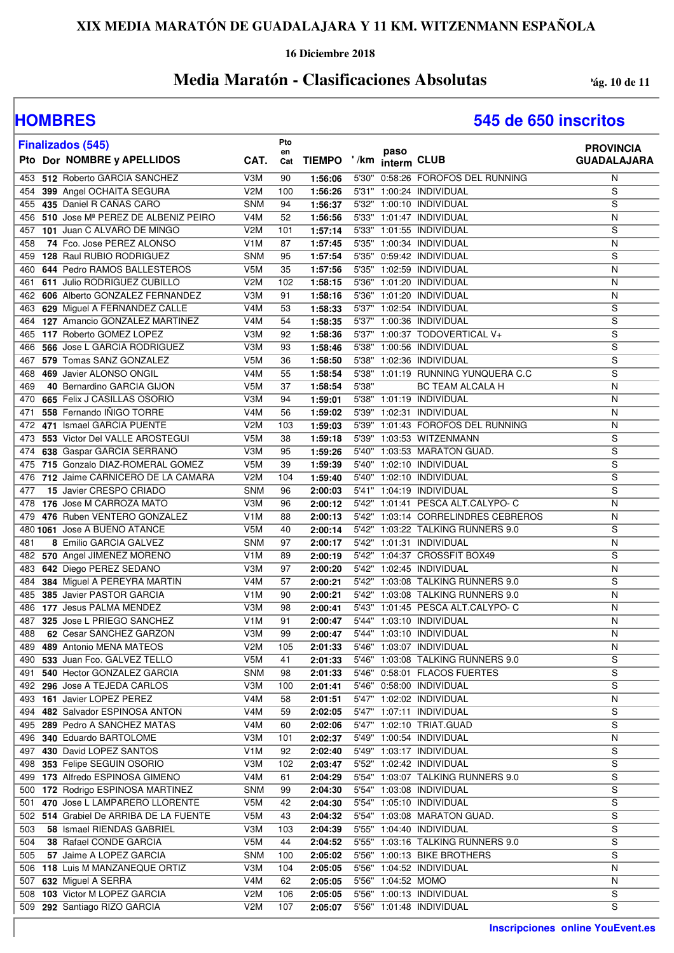### **16 Diciembre 2018**

## **Media Maratón - Clasificaciones Absolutas Pag. 10 de 11**

| <b>Finalizados (545)</b>                                             |                                      | Pto       |                         |       |                    |                                                                        | <b>PROVINCIA</b>        |
|----------------------------------------------------------------------|--------------------------------------|-----------|-------------------------|-------|--------------------|------------------------------------------------------------------------|-------------------------|
| Pto Dor NOMBRE y APELLIDOS                                           | CAT.                                 | en<br>Cat | TIEMPO '/km interm CLUB |       | paso               |                                                                        | <b>GUADALAJARA</b>      |
| 512 Roberto GARCIA SANCHEZ<br>453                                    | V3M                                  | 90        | 1:56:06                 |       |                    | 5'30" 0:58:26 FOROFOS DEL RUNNING                                      | N                       |
| 399 Angel OCHAITA SEGURA<br>454                                      | V2M                                  | 100       | 1:56:26                 |       |                    | 5'31" 1:00:24 INDIVIDUAL                                               | S                       |
| 435 Daniel R CAÑAS CARO<br>455                                       | <b>SNM</b>                           | 94        | 1:56:37                 |       |                    | 5'32" 1:00:10 INDIVIDUAL                                               | S                       |
| 510 Jose Mª PEREZ DE ALBENIZ PEIRO<br>456                            | V <sub>4</sub> M                     | 52        | 1:56:56                 |       |                    | 5'33" 1:01:47 INDIVIDUAL                                               | N                       |
| 101 Juan C ALVARO DE MINGO<br>457                                    | V2M                                  | 101       | 1:57:14                 |       |                    | 5'33" 1:01:55 INDIVIDUAL                                               | S                       |
| 74 Fco. Jose PEREZ ALONSO<br>458                                     | V <sub>1</sub> M                     | 87        | 1:57:45                 |       |                    | 5'35" 1:00:34 INDIVIDUAL                                               | N                       |
| 459 128 Raul RUBIO RODRIGUEZ                                         | <b>SNM</b>                           | 95        | 1:57:54                 |       |                    | 5'35" 0:59:42 INDIVIDUAL                                               | S                       |
| 644 Pedro RAMOS BALLESTEROS<br>460                                   | V5M                                  | 35        | 1:57:56                 |       |                    | 5'35" 1:02:59 INDIVIDUAL                                               | N                       |
| 611 Julio RODRIGUEZ CUBILLO<br>461                                   | V2M                                  | 102       | 1:58:15                 |       |                    | 5'36" 1:01:20 INDIVIDUAL                                               | N                       |
| 606 Alberto GONZALEZ FERNANDEZ<br>462                                | V3M                                  | 91        | 1:58:16                 |       |                    | 5'36" 1:01:20 INDIVIDUAL                                               | N                       |
| 629 Miguel A FERNANDEZ CALLE<br>463<br>127 Amancio GONZALEZ MARTINEZ | V <sub>4</sub> M<br>V <sub>4</sub> M | 53<br>54  | 1:58:33<br>1:58:35      |       |                    | 5'37" 1:02:54 INDIVIDUAL<br>5'37" 1:00:36 INDIVIDUAL                   | S<br>$\overline{s}$     |
| 464<br>117 Roberto GOMEZ LOPEZ<br>465                                | V3M                                  | 92        | 1:58:36                 |       |                    | 5'37" 1:00:37 TODOVERTICAL V+                                          | S                       |
| 566 Jose L GARCIA RODRIGUEZ<br>466                                   | V3M                                  | 93        | 1:58:46                 |       |                    | 5'38" 1:00:56 INDIVIDUAL                                               | S                       |
| 579 Tomas SANZ GONZALEZ<br>467                                       | V <sub>5</sub> M                     | 36        | 1:58:50                 |       |                    | 5'38" 1:02:36 INDIVIDUAL                                               | S                       |
| 469 Javier ALONSO ONGIL<br>468                                       | V <sub>4</sub> M                     | 55        | 1:58:54                 |       |                    | 5'38" 1:01:19 RUNNING YUNQUERA C.C                                     | S                       |
| 40 Bernardino GARCIA GIJON<br>469                                    | V5M                                  | 37        | 1:58:54                 | 5'38" |                    | BC TEAM ALCALA H                                                       | N                       |
| 665 Felix J CASILLAS OSORIO<br>470                                   | V3M                                  | 94        | 1:59:01                 |       |                    | 5'38" 1:01:19 INDIVIDUAL                                               | N                       |
| 558 Fernando IÑIGO TORRE<br>471                                      | V <sub>4</sub> M                     | 56        | 1:59:02                 |       |                    | 5'39" 1:02:31 INDIVIDUAL                                               | N                       |
| 471 Ismael GARCIA PUENTE<br>472                                      | V2M                                  | 103       | 1:59:03                 |       |                    | 5'39" 1:01:43 FOROFOS DEL RUNNING                                      | N                       |
| 553 Victor Del VALLE AROSTEGUI<br>473                                | V <sub>5</sub> M                     | 38        | 1:59:18                 |       |                    | 5'39" 1:03:53 WITZENMANN                                               | S                       |
| 638 Gaspar GARCIA SERRANO<br>474                                     | V3M                                  | 95        | 1:59:26                 |       |                    | 5'40" 1:03:53 MARATON GUAD.                                            | S                       |
| 715 Gonzalo DIAZ-ROMERAL GOMEZ<br>475                                | V5M                                  | 39        | 1:59:39                 |       |                    | 5'40" 1:02:10 INDIVIDUAL                                               | S                       |
| 712 Jaime CARNICERO DE LA CAMARA<br>476                              | V2M                                  | 104       | 1:59:40                 |       |                    | 5'40" 1:02:10 INDIVIDUAL                                               | S                       |
| 15 Javier CRESPO CRIADO<br>477                                       | <b>SNM</b>                           | 96        | 2:00:03                 |       |                    | 5'41" 1:04:19 INDIVIDUAL                                               | S                       |
| 176 Jose M CARROZA MATO<br>478                                       | V3M                                  | 96        | 2:00:12                 |       |                    | 5'42" 1:01:41 PESCA ALT.CALYPO- C                                      | N                       |
| 476 Ruben VENTERO GONZALEZ<br>479                                    | V <sub>1</sub> M                     | 88        | 2:00:13                 |       |                    | 5'42" 1:03:14 CORRELINDRES CEBREROS                                    | N                       |
| 480 1061 Jose A BUENO ATANCE                                         | V5M                                  | 40        | 2:00:14                 |       |                    | 5'42" 1:03:22 TALKING RUNNERS 9.0                                      | $\overline{s}$          |
| 8 Emilio GARCIA GALVEZ<br>481                                        | <b>SNM</b>                           | 97        | 2:00:17                 |       |                    | 5'42" 1:01:31 INDIVIDUAL                                               | N                       |
| 482<br>570 Angel JIMENEZ MORENO                                      | V <sub>1</sub> M                     | 89        | 2:00:19                 |       |                    | 5'42" 1:04:37 CROSSFIT BOX49                                           | S                       |
| 642 Diego PEREZ SEDANO<br>483                                        | V3M                                  | 97        | 2:00:20                 |       |                    | 5'42" 1:02:45 INDIVIDUAL                                               | N                       |
| 384 Miguel A PEREYRA MARTIN<br>484                                   | V <sub>4</sub> M                     | 57        | 2:00:21                 |       |                    | 5'42" 1:03:08 TALKING RUNNERS 9.0                                      | S                       |
| 385 Javier PASTOR GARCIA<br>485<br>177 Jesus PALMA MENDEZ            | V <sub>1</sub> M<br>V3M              | 90<br>98  | 2:00:21<br>2:00:41      |       |                    | 5'42" 1:03:08 TALKING RUNNERS 9.0<br>5'43" 1:01:45 PESCA ALT.CALYPO- C | N<br>N                  |
| 486<br>325 Jose L PRIEGO SANCHEZ<br>487                              | V <sub>1</sub> M                     | 91        | 2:00:47                 |       |                    | 5'44" 1:03:10 INDIVIDUAL                                               | N                       |
| 62 Cesar SANCHEZ GARZON<br>488                                       | V3M                                  | 99        | 2:00:47                 |       |                    | 5'44" 1:03:10 INDIVIDUAL                                               | N                       |
| 489 489 Antonio MENA MATEOS                                          | V2M                                  | 105       | 2:01:33                 |       |                    | 5'46" 1:03:07 INDIVIDUAL                                               | $\overline{\mathsf{N}}$ |
| 490 533 Juan Fco. GALVEZ TELLO                                       | V5M                                  | 41        | 2:01:33                 |       |                    | 5'46" 1:03:08 TALKING RUNNERS 9.0                                      | S                       |
| 540 Hector GONZALEZ GARCIA<br>491                                    | <b>SNM</b>                           | 98        | 2:01:33                 |       |                    | 5'46" 0:58:01 FLACOS FUERTES                                           | S                       |
| 296 Jose A TEJEDA CARLOS<br>492                                      | V3M                                  | 100       | 2:01:41                 |       |                    | 5'46" 0:58:00 INDIVIDUAL                                               | $\overline{s}$          |
| 493 161 Javier LOPEZ PEREZ                                           | V <sub>4</sub> M                     | 58        | 2:01:51                 |       |                    | 5'47" 1:02:02 INDIVIDUAL                                               | N                       |
| 494 482 Salvador ESPINOSA ANTON                                      | V4M                                  | 59        | 2:02:05                 |       |                    | 5'47" 1:07:11 INDIVIDUAL                                               | S                       |
| 495 289 Pedro A SANCHEZ MATAS                                        | V4M                                  | 60        | 2:02:06                 |       |                    | 5'47" 1:02:10 TRIAT.GUAD                                               | $\overline{s}$          |
| 496 340 Eduardo BARTOLOME                                            | V3M                                  | 101       | 2:02:37                 |       |                    | 5'49" 1:00:54 INDIVIDUAL                                               | N                       |
| 430 David LOPEZ SANTOS<br>497                                        | V <sub>1</sub> M                     | 92        | 2:02:40                 |       |                    | 5'49" 1:03:17 INDIVIDUAL                                               | S                       |
| 353 Felipe SEGUIN OSORIO<br>498                                      | V3M                                  | 102       | 2:03:47                 |       |                    | 5'52" 1:02:42 INDIVIDUAL                                               | S                       |
| 499 173 Alfredo ESPINOSA GIMENO                                      | V <sub>4</sub> M                     | 61        | 2:04:29                 |       |                    | 5'54" 1:03:07 TALKING RUNNERS 9.0                                      | S                       |
| 172 Rodrigo ESPINOSA MARTINEZ<br>500                                 | <b>SNM</b>                           | 99        | 2:04:30                 |       |                    | 5'54" 1:03:08 INDIVIDUAL                                               | S                       |
| 470 Jose L LAMPARERO LLORENTE<br>501                                 | V <sub>5</sub> M                     | 42        | 2:04:30                 |       |                    | 5'54" 1:05:10 INDIVIDUAL                                               | $\overline{s}$          |
| 502 514 Grabiel De ARRIBA DE LA FUENTE                               | V <sub>5</sub> M                     | 43        | 2:04:32                 |       |                    | 5'54" 1:03:08 MARATON GUAD.                                            | S                       |
| 503<br>58 Ismael RIENDAS GABRIEL                                     | V3M                                  | 103       | 2:04:39                 |       |                    | 5'55" 1:04:40 INDIVIDUAL                                               | S                       |
| 504<br>38 Rafael CONDE GARCIA                                        | V <sub>5</sub> M                     | 44        | 2:04:52                 |       |                    | 5'55" 1:03:16 TALKING RUNNERS 9.0                                      | $\overline{s}$          |
| 57 Jaime A LOPEZ GARCIA<br>505                                       | <b>SNM</b>                           | 100       | 2:05:02                 |       |                    | 5'56" 1:00:13 BIKE BROTHERS                                            | S                       |
| 118 Luis M MANZANEQUE ORTIZ<br>506                                   | V3M                                  | 104       | 2:05:05                 |       |                    | 5'56" 1:04:52 INDIVIDUAL                                               | $\mathsf{N}$            |
| 632 Miguel A SERRA<br>507                                            | V4M                                  | 62        | 2:05:05                 |       | 5'56" 1:04:52 MOMO |                                                                        | $\mathsf{N}$            |
| 103 Victor M LOPEZ GARCIA<br>508                                     | V2M                                  | 106       | 2:05:05                 |       |                    | 5'56" 1:00:13 INDIVIDUAL                                               | S                       |
| 509 292 Santiago RIZO GARCIA                                         | V <sub>2</sub> M                     | 107       | 2:05:07                 |       |                    | 5'56" 1:01:48 INDIVIDUAL                                               | S                       |